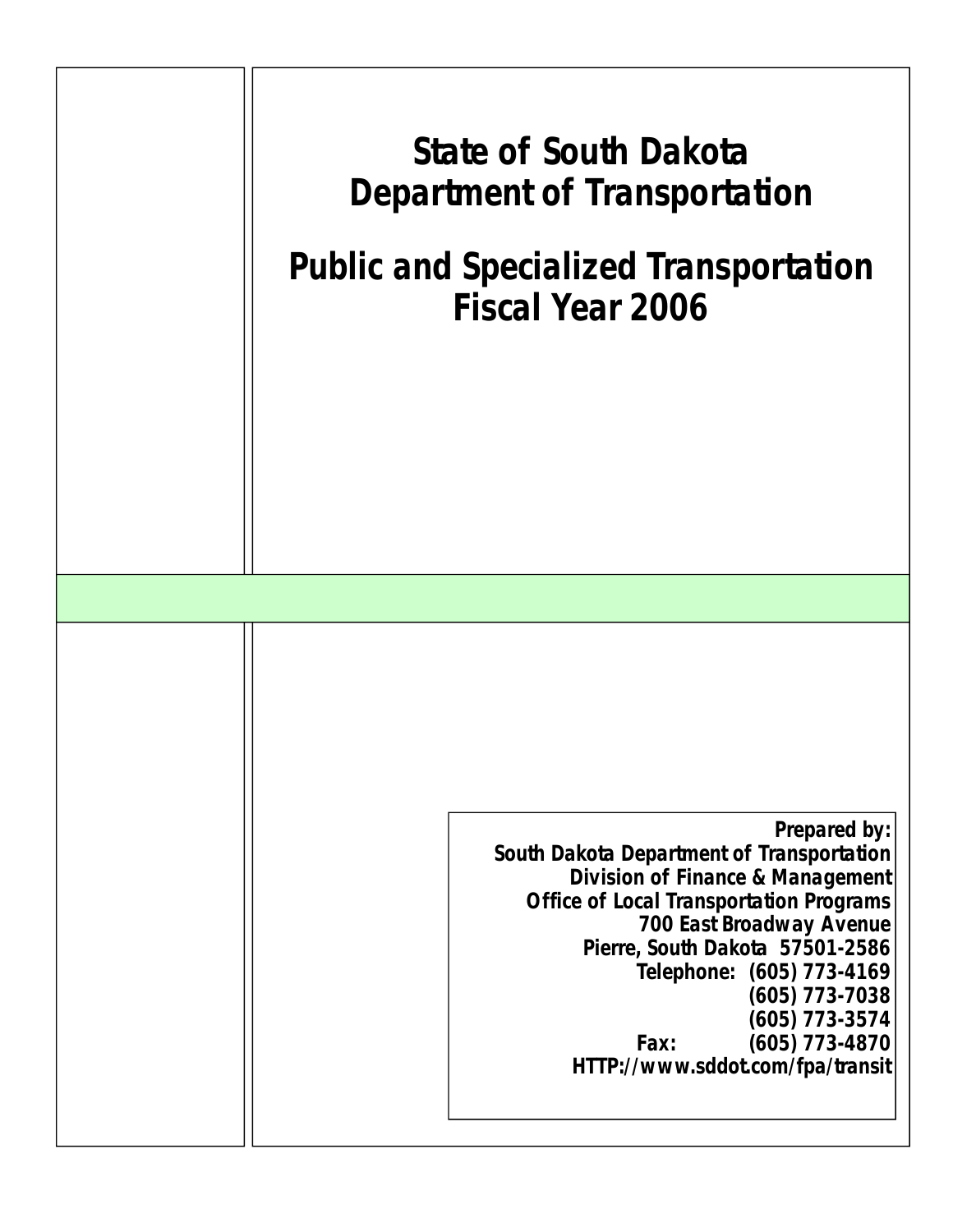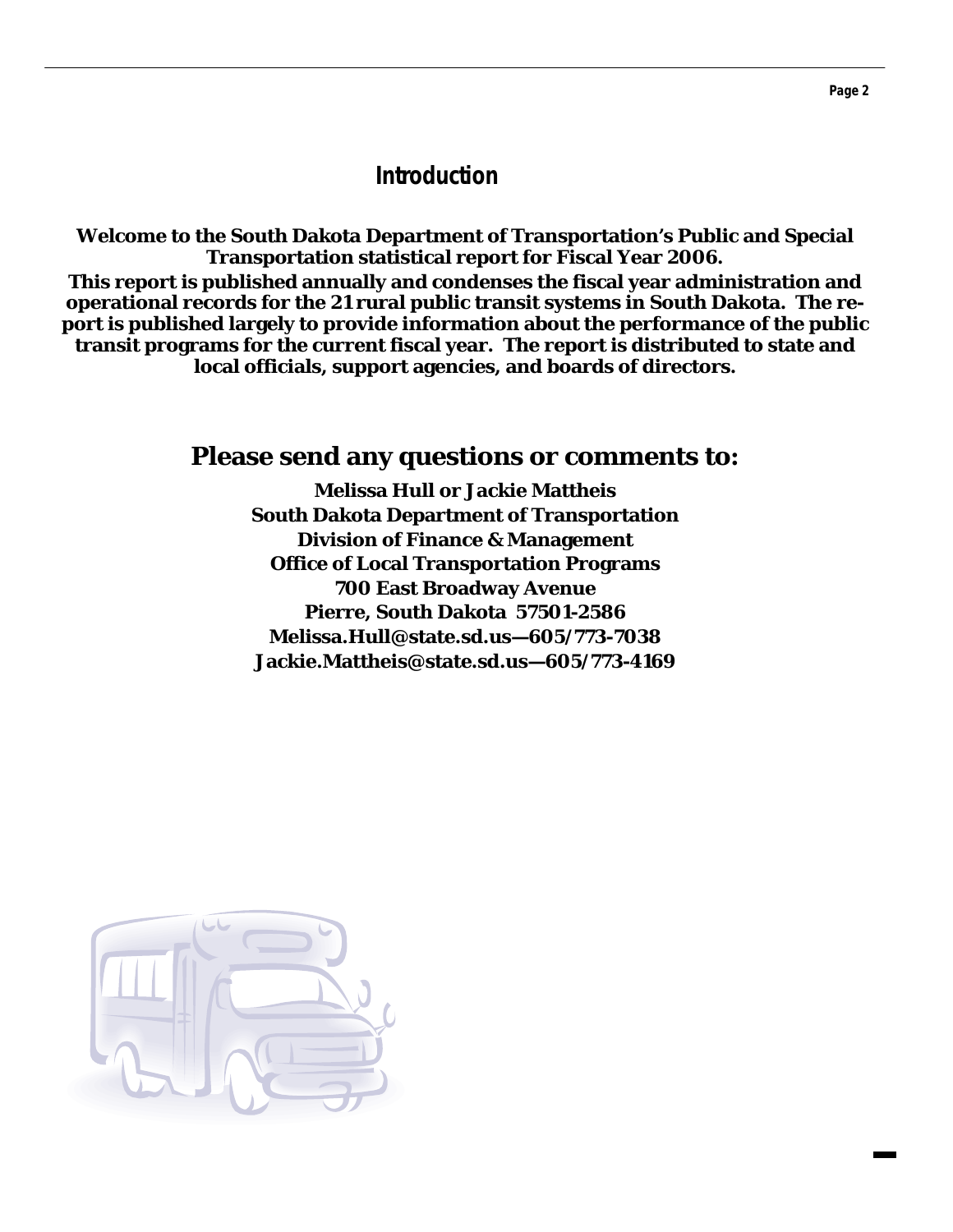## **Introduction**

**Welcome to the South Dakota Department of Transportation's Public and Special Transportation statistical report for Fiscal Year 2006. This report is published annually and condenses the fiscal year administration and operational records for the 21 rural public transit systems in South Dakota. The report is published largely to provide information about the performance of the public transit programs for the current fiscal year. The report is distributed to state and local officials, support agencies, and boards of directors.** 

## **Please send any questions or comments to:**

**Melissa Hull or Jackie Mattheis South Dakota Department of Transportation Division of Finance & Management Office of Local Transportation Programs 700 East Broadway Avenue Pierre, South Dakota 57501-2586 Melissa.Hull@state.sd.us—605/773-7038 Jackie.Mattheis@state.sd.us—605/773-4169** 

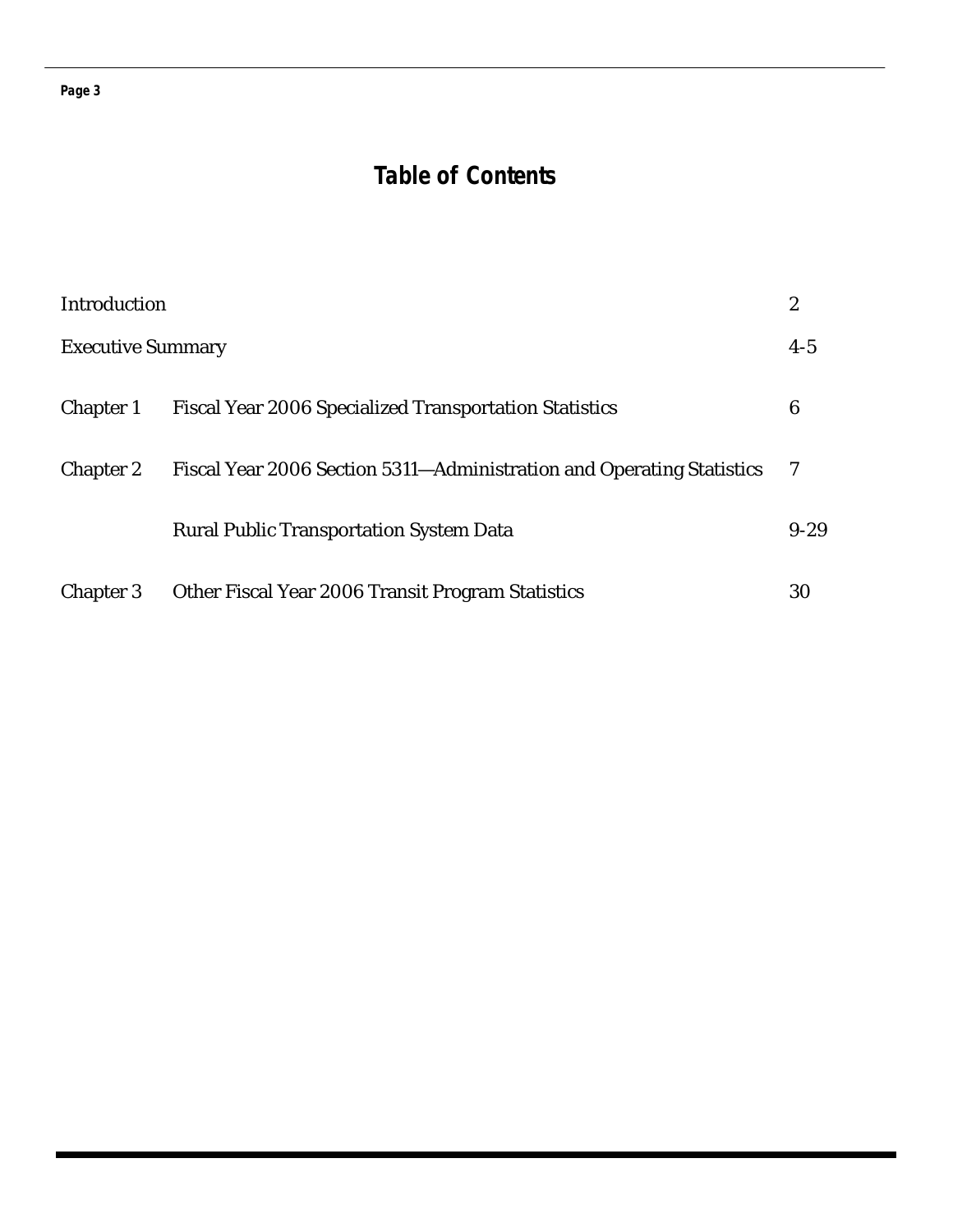#### **Page 3**

## **Table of Contents**

| Introduction             |                                                                       | 2        |
|--------------------------|-----------------------------------------------------------------------|----------|
| <b>Executive Summary</b> |                                                                       | $4 - 5$  |
| <b>Chapter 1</b>         | <b>Fiscal Year 2006 Specialized Transportation Statistics</b>         | 6        |
| <b>Chapter 2</b>         | Fiscal Year 2006 Section 5311-Administration and Operating Statistics | 7        |
|                          | <b>Rural Public Transportation System Data</b>                        | $9 - 29$ |
| <b>Chapter 3</b>         | Other Fiscal Year 2006 Transit Program Statistics                     | 30       |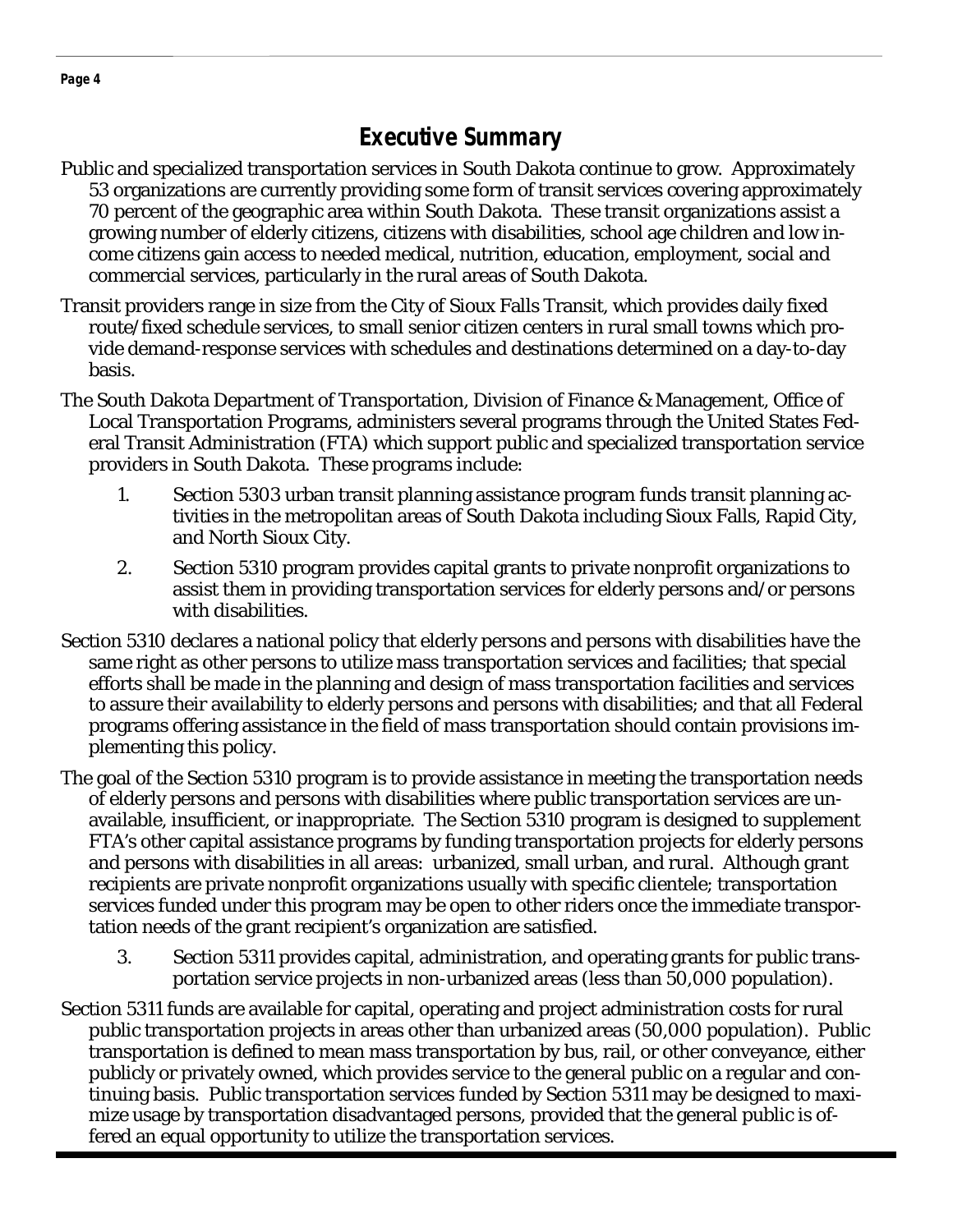## **Executive Summary**

- Public and specialized transportation services in South Dakota continue to grow. Approximately 53 organizations are currently providing some form of transit services covering approximately 70 percent of the geographic area within South Dakota. These transit organizations assist a growing number of elderly citizens, citizens with disabilities, school age children and low income citizens gain access to needed medical, nutrition, education, employment, social and commercial services, particularly in the rural areas of South Dakota.
- Transit providers range in size from the City of Sioux Falls Transit, which provides daily fixed route/fixed schedule services, to small senior citizen centers in rural small towns which provide demand-response services with schedules and destinations determined on a day-to-day basis.
- The South Dakota Department of Transportation, Division of Finance & Management, Office of Local Transportation Programs, administers several programs through the United States Federal Transit Administration (FTA) which support public and specialized transportation service providers in South Dakota. These programs include:
	- 1. Section 5303 urban transit planning assistance program funds transit planning ac tivities in the metropolitan areas of South Dakota including Sioux Falls, Rapid City, and North Sioux City.
	- 2. Section 5310 program provides capital grants to private nonprofit organizations to assist them in providing transportation services for elderly persons and/or persons with disabilities.
- Section 5310 declares a national policy that elderly persons and persons with disabilities have the same right as other persons to utilize mass transportation services and facilities; that special efforts shall be made in the planning and design of mass transportation facilities and services to assure their availability to elderly persons and persons with disabilities; and that all Federal programs offering assistance in the field of mass transportation should contain provisions implementing this policy.
- The goal of the Section 5310 program is to provide assistance in meeting the transportation needs of elderly persons and persons with disabilities where public transportation services are unavailable, insufficient, or inappropriate. The Section 5310 program is designed to supplement FTA's other capital assistance programs by funding transportation projects for elderly persons and persons with disabilities in all areas: urbanized, small urban, and rural. Although grant recipients are private nonprofit organizations usually with specific clientele; transportation services funded under this program may be open to other riders once the immediate transportation needs of the grant recipient's organization are satisfied.
	- 3. Section 5311 provides capital, administration, and operating grants for public trans portation service projects in non-urbanized areas (less than 50,000 population).
- Section 5311 funds are available for capital, operating and project administration costs for rural public transportation projects in areas other than urbanized areas (50,000 population). Public transportation is defined to mean mass transportation by bus, rail, or other conveyance, either publicly or privately owned, which provides service to the general public on a regular and continuing basis. Public transportation services funded by Section 5311 may be designed to maximize usage by transportation disadvantaged persons, provided that the general public is offered an equal opportunity to utilize the transportation services.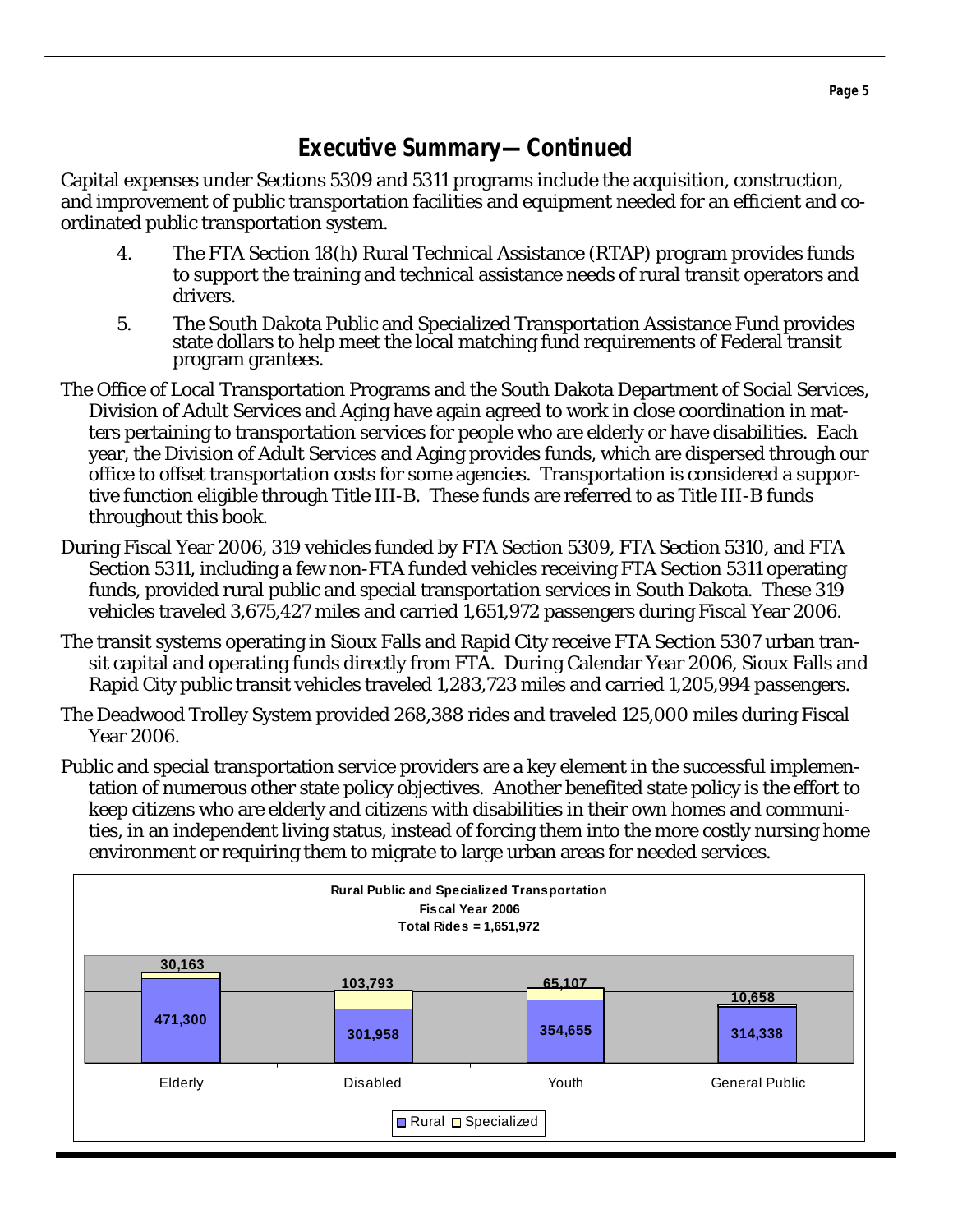## **Executive Summary—Continued**

Capital expenses under Sections 5309 and 5311 programs include the acquisition, construction, and improvement of public transportation facilities and equipment needed for an efficient and coordinated public transportation system.

- 4. The FTA Section 18(h) Rural Technical Assistance (RTAP) program provides funds to support the training and technical assistance needs of rural transit operators and drivers.
- 5. The South Dakota Public and Specialized Transportation Assistance Fund provides state dollars to help meet the local matching fund requirements of Federal transit program grantees.
- The Office of Local Transportation Programs and the South Dakota Department of Social Services, Division of Adult Services and Aging have again agreed to work in close coordination in matters pertaining to transportation services for people who are elderly or have disabilities. Each year, the Division of Adult Services and Aging provides funds, which are dispersed through our office to offset transportation costs for some agencies. Transportation is considered a supportive function eligible through Title III-B. These funds are referred to as Title III-B funds throughout this book.
- During Fiscal Year 2006, 319 vehicles funded by FTA Section 5309, FTA Section 5310, and FTA Section 5311, including a few non-FTA funded vehicles receiving FTA Section 5311 operating funds, provided rural public and special transportation services in South Dakota. These 319 vehicles traveled 3,675,427 miles and carried 1,651,972 passengers during Fiscal Year 2006.
- The transit systems operating in Sioux Falls and Rapid City receive FTA Section 5307 urban transit capital and operating funds directly from FTA. During Calendar Year 2006, Sioux Falls and Rapid City public transit vehicles traveled 1,283,723 miles and carried 1,205,994 passengers.
- The Deadwood Trolley System provided 268,388 rides and traveled 125,000 miles during Fiscal Year 2006.
- Public and special transportation service providers are a key element in the successful implementation of numerous other state policy objectives. Another benefited state policy is the effort to keep citizens who are elderly and citizens with disabilities in their own homes and communities, in an independent living status, instead of forcing them into the more costly nursing home environment or requiring them to migrate to large urban areas for needed services.

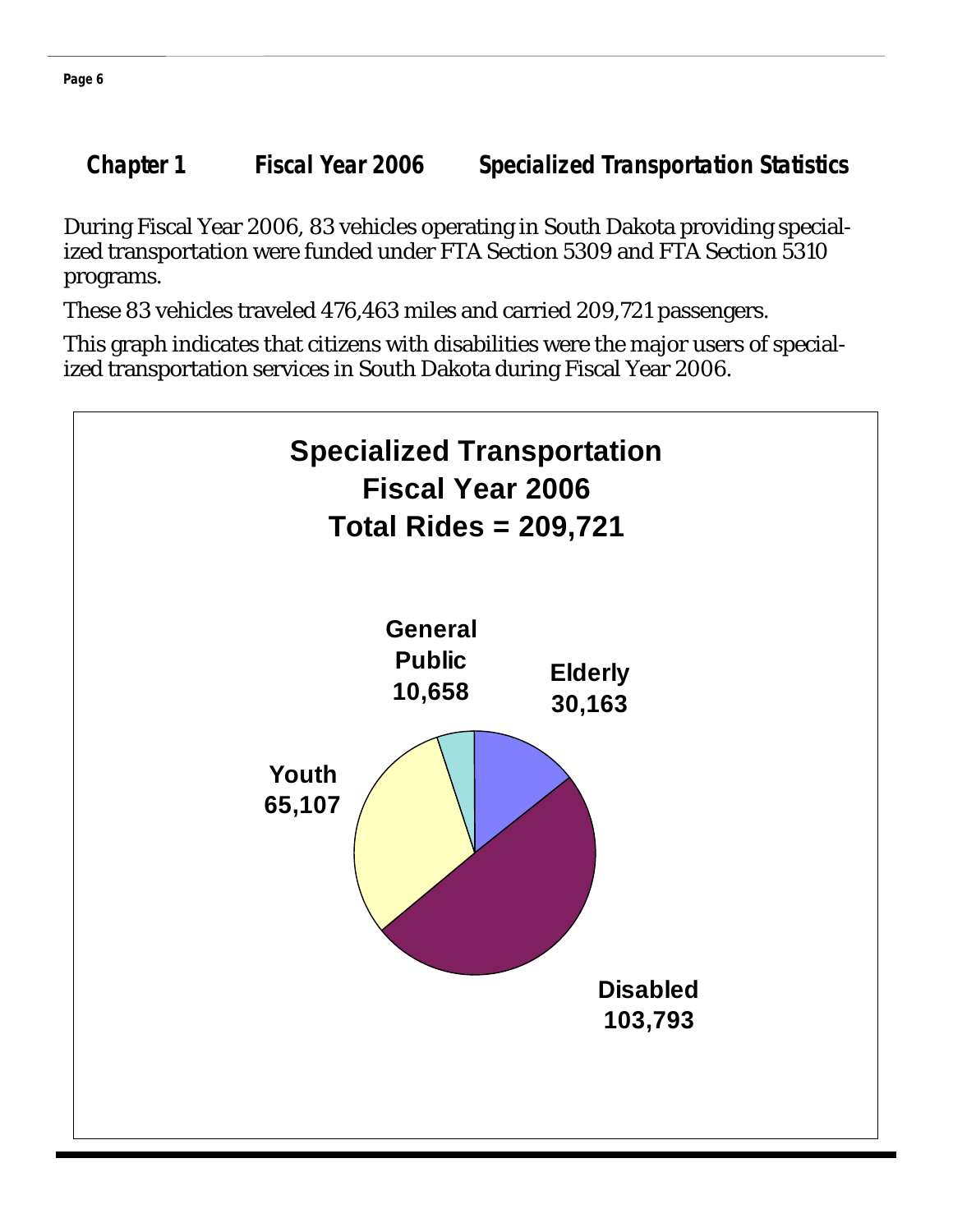**Chapter 1 Fiscal Year 2006 Specialized Transportation Statistics** 

During Fiscal Year 2006, 83 vehicles operating in South Dakota providing specialized transportation were funded under FTA Section 5309 and FTA Section 5310 programs.

These 83 vehicles traveled 476,463 miles and carried 209,721 passengers.

This graph indicates that citizens with disabilities were the major users of specialized transportation services in South Dakota during Fiscal Year 2006.

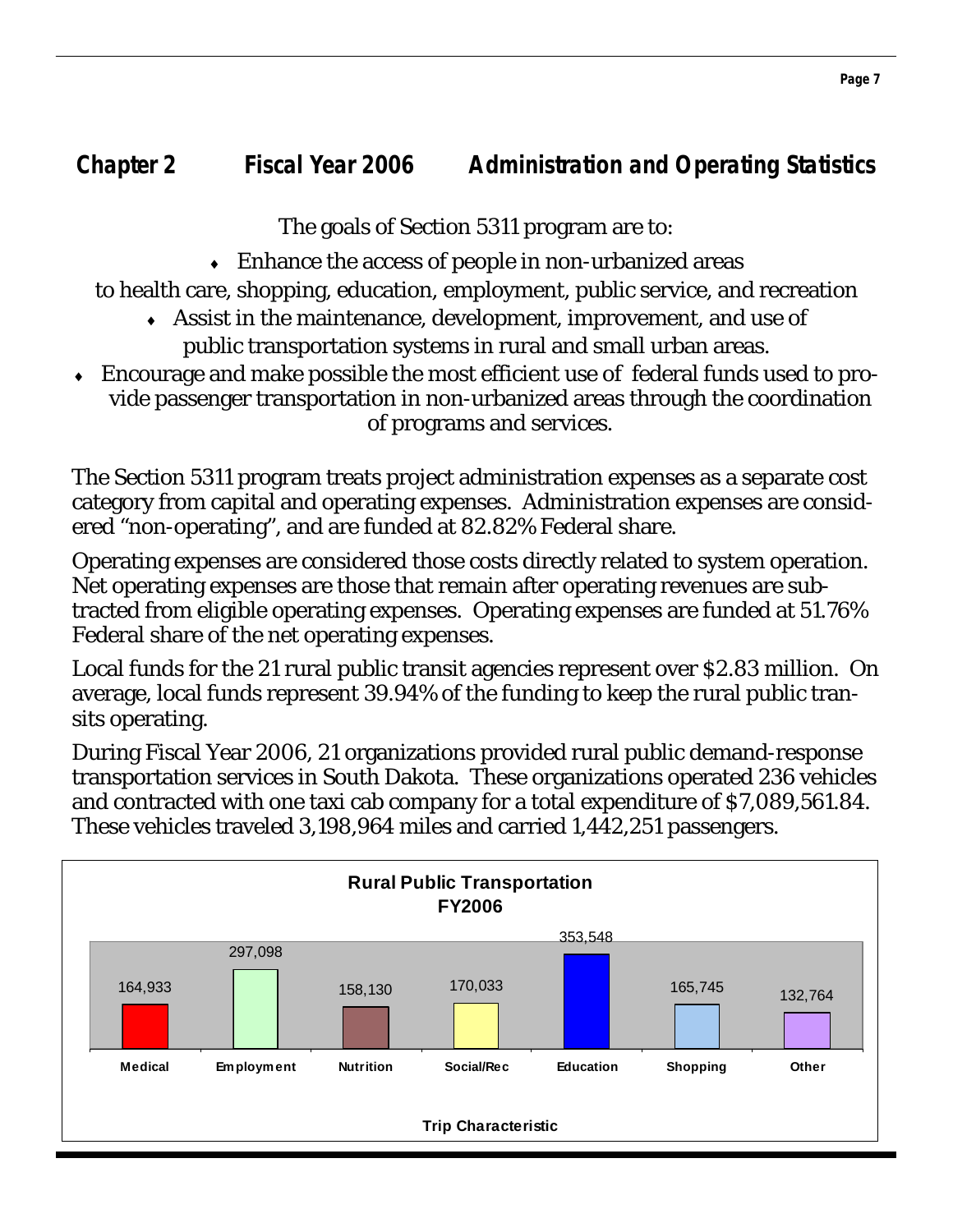The goals of Section 5311 program are to:

♦ Enhance the access of people in non-urbanized areas

to health care, shopping, education, employment, public service, and recreation

- ♦ Assist in the maintenance, development, improvement, and use of public transportation systems in rural and small urban areas.
- Encourage and make possible the most efficient use of federal funds used to provide passenger transportation in non-urbanized areas through the coordination of programs and services.

The Section 5311 program treats project administration expenses as a separate cost category from capital and operating expenses. Administration expenses are considered "non-operating", and are funded at 82.82% Federal share.

Operating expenses are considered those costs directly related to system operation. Net operating expenses are those that remain after operating revenues are subtracted from eligible operating expenses. Operating expenses are funded at 51.76% Federal share of the net operating expenses.

Local funds for the 21 rural public transit agencies represent over \$2.83 million. On average, local funds represent 39.94% of the funding to keep the rural public transits operating.

During Fiscal Year 2006, 21 organizations provided rural public demand-response transportation services in South Dakota. These organizations operated 236 vehicles and contracted with one taxi cab company for a total expenditure of \$7,089,561.84. These vehicles traveled 3,198,964 miles and carried 1,442,251 passengers.

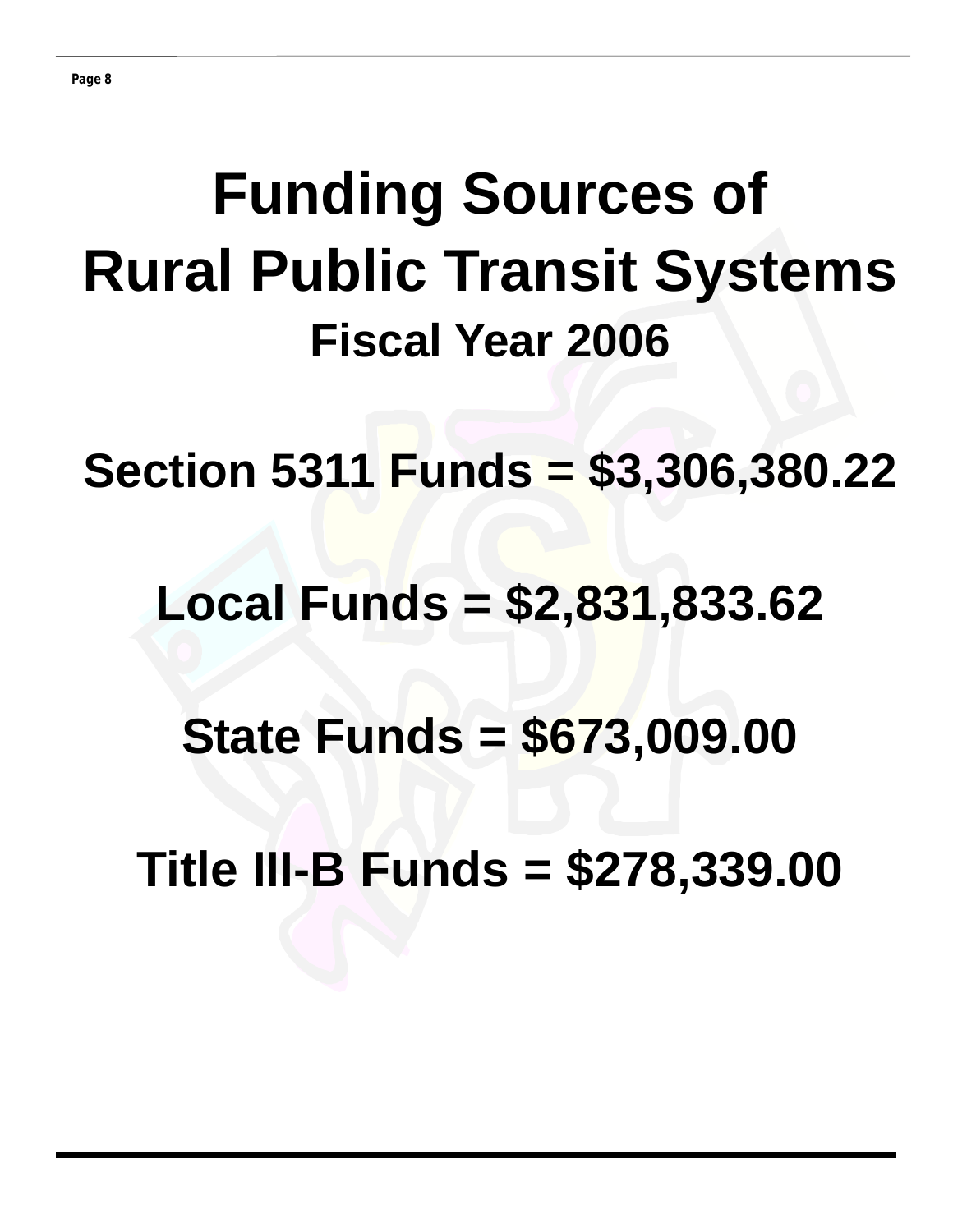# **Funding Sources of Rural Public Transit Systems Fiscal Year 2006**

**Section 5311 Funds = \$3,306,380.22** 

## **Local Funds = \$2,831,833.62**

**State Funds = \$673,009.00** 

**Title III-B Funds = \$278,339.00**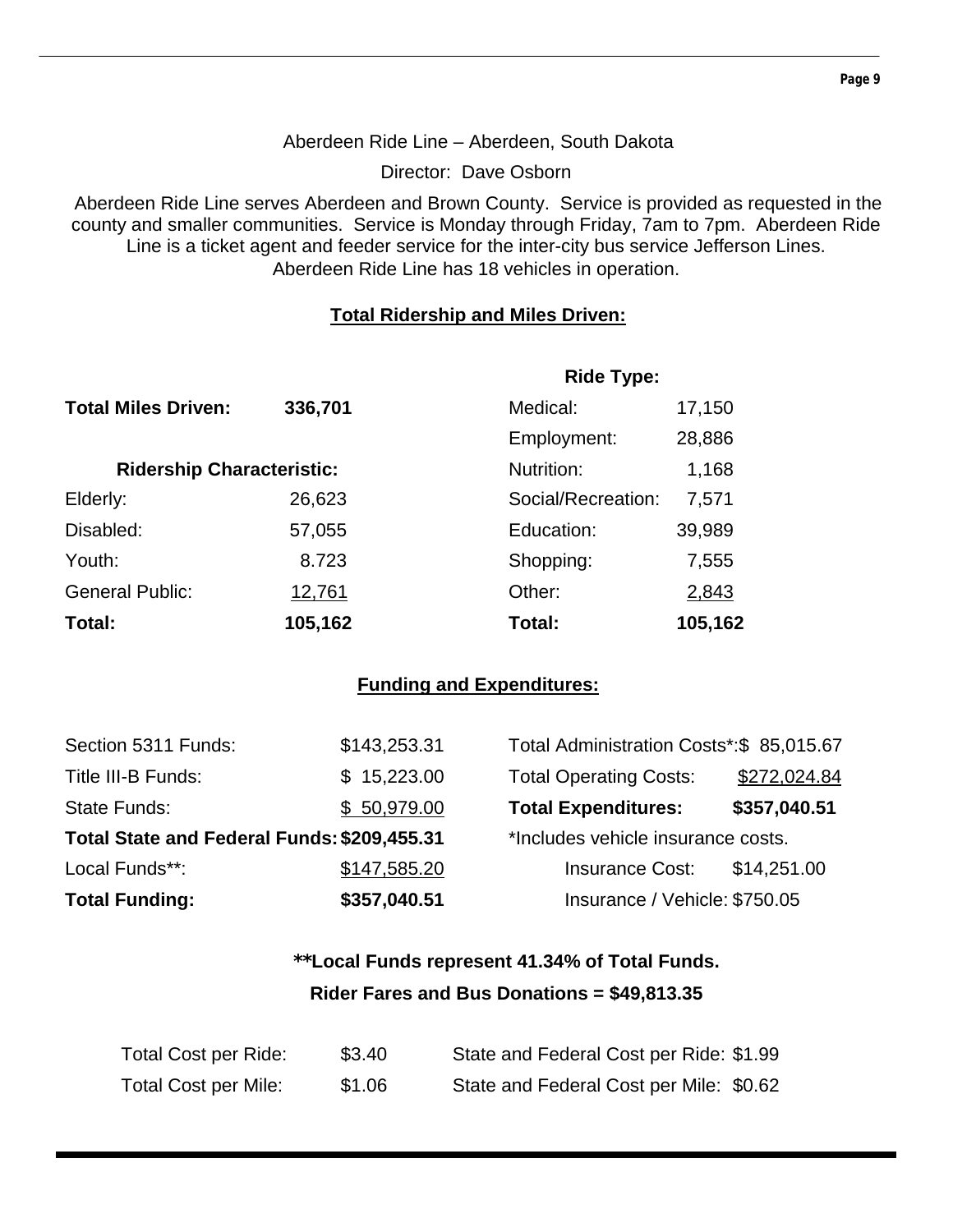#### Aberdeen Ride Line – Aberdeen, South Dakota

Director: Dave Osborn

Aberdeen Ride Line serves Aberdeen and Brown County. Service is provided as requested in the county and smaller communities. Service is Monday through Friday, 7am to 7pm. Aberdeen Ride Line is a ticket agent and feeder service for the inter-city bus service Jefferson Lines. Aberdeen Ride Line has 18 vehicles in operation.

#### **Total Ridership and Miles Driven:**

|                                  |         | <b>Ride Type:</b>  |         |
|----------------------------------|---------|--------------------|---------|
| <b>Total Miles Driven:</b>       | 336,701 | Medical:           | 17,150  |
|                                  |         | Employment:        | 28,886  |
| <b>Ridership Characteristic:</b> |         | Nutrition:         | 1,168   |
| Elderly:                         | 26,623  | Social/Recreation: | 7,571   |
| Disabled:                        | 57,055  | Education:         | 39,989  |
| Youth:                           | 8.723   | Shopping:          | 7,555   |
| <b>General Public:</b>           | 12,761  | Other:             | 2,843   |
| Total:                           | 105,162 | Total:             | 105,162 |

#### **Funding and Expenditures:**

| Section 5311 Funds:                         | \$143,253.31 | Total Administration Costs*: \$85,015.67 |              |
|---------------------------------------------|--------------|------------------------------------------|--------------|
| Title III-B Funds:                          | \$15,223.00  | <b>Total Operating Costs:</b>            | \$272,024.84 |
| State Funds:                                | \$50,979.00  | <b>Total Expenditures:</b>               | \$357,040.51 |
| Total State and Federal Funds: \$209,455.31 |              | *Includes vehicle insurance costs.       |              |
| Local Funds**:                              | \$147,585.20 | <b>Insurance Cost:</b>                   | \$14,251.00  |
| <b>Total Funding:</b>                       | \$357,040.51 | Insurance / Vehicle: \$750.05            |              |

## **\*\*Local Funds represent 41.34% of Total Funds. Rider Fares and Bus Donations = \$49,813.35**

| Total Cost per Ride:        | \$3.40 | State and Federal Cost per Ride: \$1.99 |
|-----------------------------|--------|-----------------------------------------|
| <b>Total Cost per Mile:</b> | \$1.06 | State and Federal Cost per Mile: \$0.62 |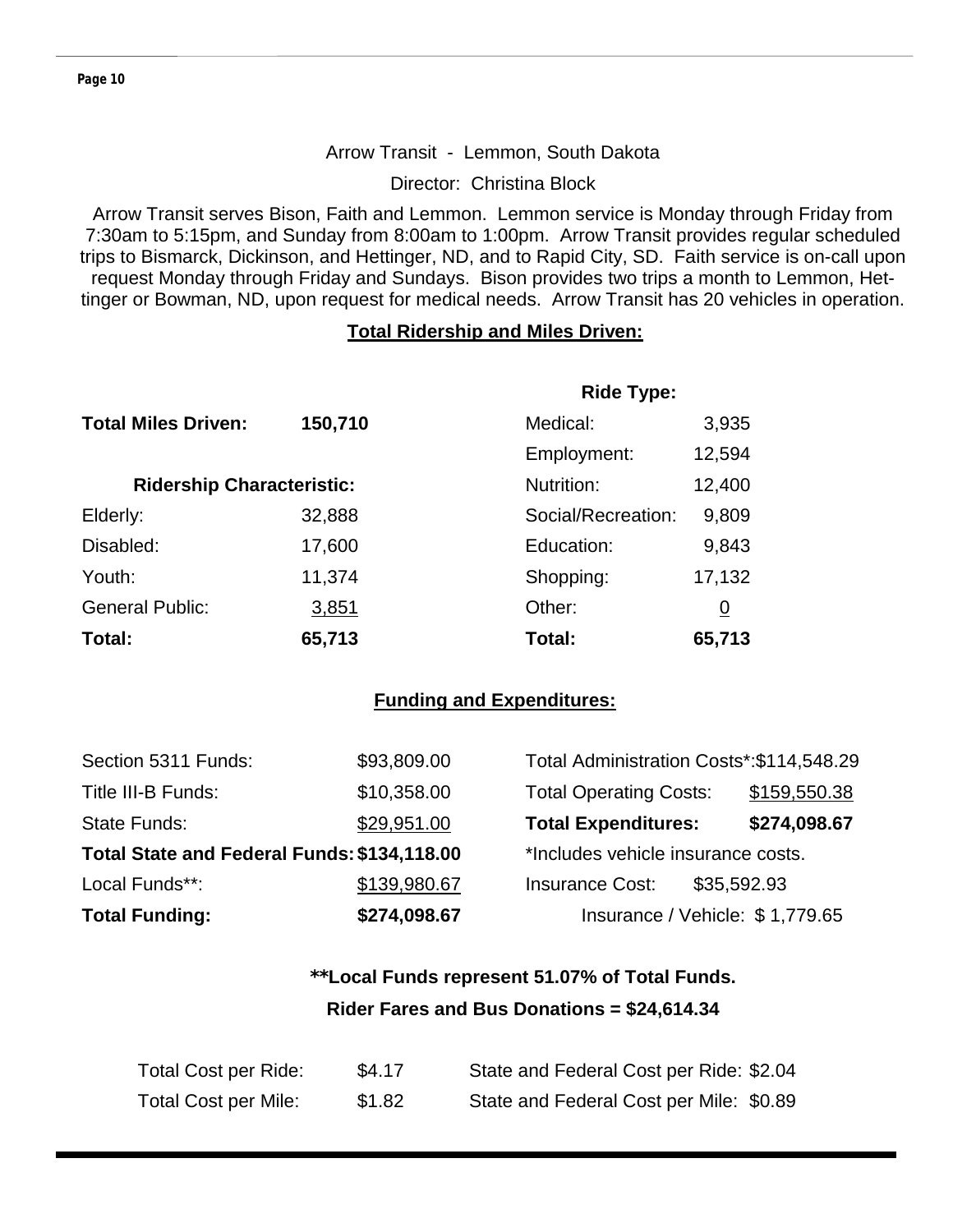#### Arrow Transit - Lemmon, South Dakota

Director: Christina Block

Arrow Transit serves Bison, Faith and Lemmon. Lemmon service is Monday through Friday from 7:30am to 5:15pm, and Sunday from 8:00am to 1:00pm. Arrow Transit provides regular scheduled trips to Bismarck, Dickinson, and Hettinger, ND, and to Rapid City, SD. Faith service is on-call upon request Monday through Friday and Sundays. Bison provides two trips a month to Lemmon, Hettinger or Bowman, ND, upon request for medical needs. Arrow Transit has 20 vehicles in operation.

#### **Total Ridership and Miles Driven:**

|                                  |         | <b>Ride Type:</b>  |                |
|----------------------------------|---------|--------------------|----------------|
| <b>Total Miles Driven:</b>       | 150,710 | Medical:           | 3,935          |
|                                  |         | Employment:        | 12,594         |
| <b>Ridership Characteristic:</b> |         | Nutrition:         | 12,400         |
| Elderly:                         | 32,888  | Social/Recreation: | 9,809          |
| Disabled:                        | 17,600  | Education:         | 9,843          |
| Youth:                           | 11,374  | Shopping:          | 17,132         |
| <b>General Public:</b>           | 3,851   | Other:             | $\overline{0}$ |
| Total:                           | 65,713  | Total:             | 65,713         |

#### **Funding and Expenditures:**

| <b>Total Funding:</b>                       | \$274,098.67 | Insurance / Vehicle: \$1,779.65           |              |
|---------------------------------------------|--------------|-------------------------------------------|--------------|
| Local Funds**:                              | \$139,980.67 | <b>Insurance Cost:</b><br>\$35,592.93     |              |
| Total State and Federal Funds: \$134,118.00 |              | *Includes vehicle insurance costs.        |              |
| State Funds:                                | \$29,951.00  | <b>Total Expenditures:</b>                | \$274,098.67 |
| Title III-B Funds:                          | \$10,358.00  | <b>Total Operating Costs:</b>             | \$159,550.38 |
| Section 5311 Funds:                         | \$93,809.00  | Total Administration Costs*: \$114,548.29 |              |

## **\*\*Local Funds represent 51.07% of Total Funds. Rider Fares and Bus Donations = \$24,614.34**

| Total Cost per Ride:        | \$4.17 | State and Federal Cost per Ride: \$2.04 |
|-----------------------------|--------|-----------------------------------------|
| <b>Total Cost per Mile:</b> | \$1.82 | State and Federal Cost per Mile: \$0.89 |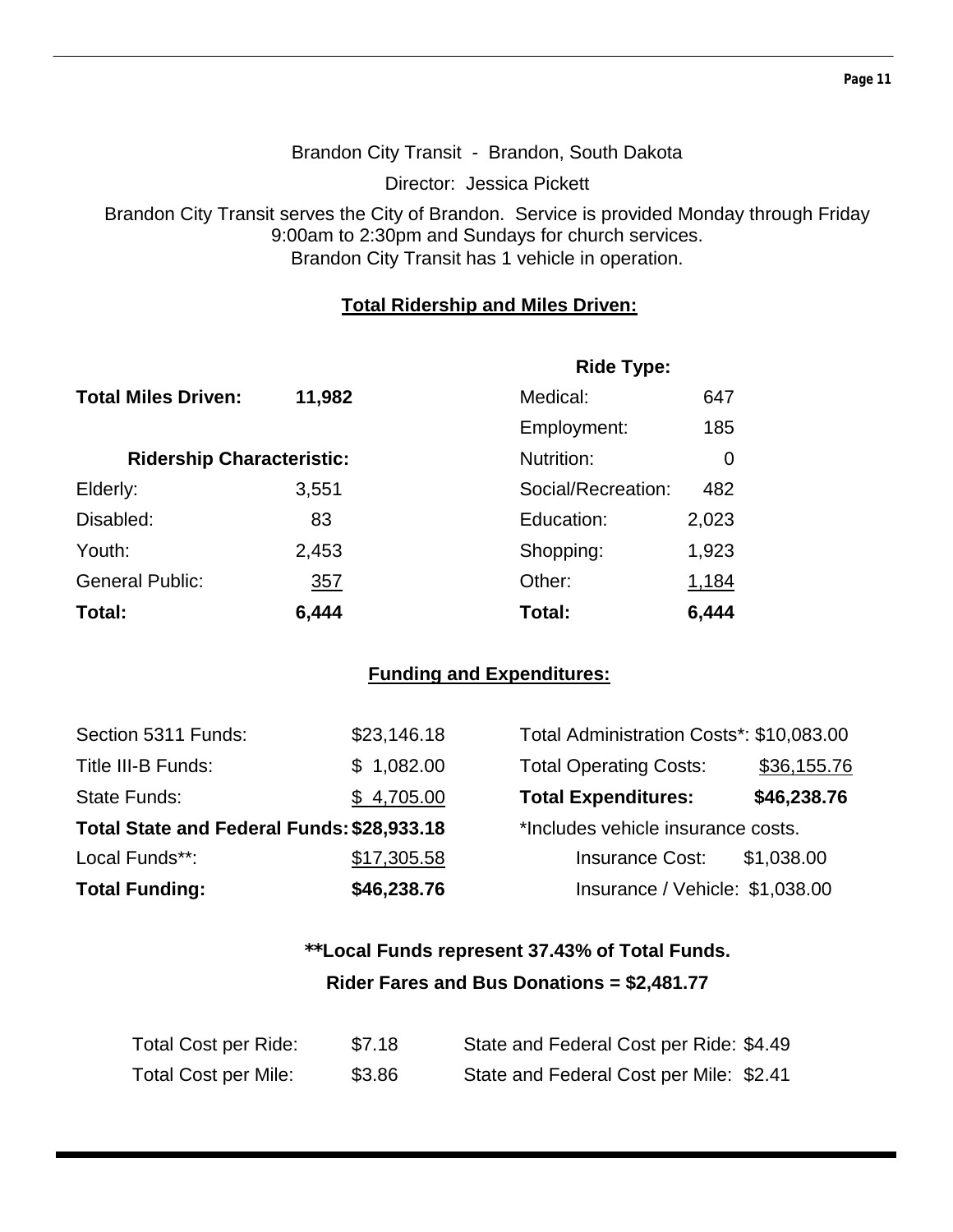#### Brandon City Transit - Brandon, South Dakota

Director: Jessica Pickett

Brandon City Transit serves the City of Brandon. Service is provided Monday through Friday 9:00am to 2:30pm and Sundays for church services. Brandon City Transit has 1 vehicle in operation.

#### **Total Ridership and Miles Driven:**

|                                  |            | <b>Ride Type:</b>  |       |  |
|----------------------------------|------------|--------------------|-------|--|
| <b>Total Miles Driven:</b>       | 11,982     | Medical:           | 647   |  |
|                                  |            | Employment:        | 185   |  |
| <b>Ridership Characteristic:</b> |            | Nutrition:         | 0     |  |
| Elderly:                         | 3,551      | Social/Recreation: | 482   |  |
| Disabled:                        | 83         | Education:         | 2,023 |  |
| Youth:                           | 2,453      | Shopping:          | 1,923 |  |
| <b>General Public:</b>           | <u>357</u> | Other:             | 1,184 |  |
| Total:                           | 6,444      | Total:             | 6,444 |  |

#### **Funding and Expenditures:**

| Section 5311 Funds:                        | \$23,146.18 | Total Administration Costs*: \$10,083.00 |             |
|--------------------------------------------|-------------|------------------------------------------|-------------|
| Title III-B Funds:                         | \$1,082.00  | <b>Total Operating Costs:</b>            | \$36,155.76 |
| State Funds:                               | \$4,705.00  | <b>Total Expenditures:</b>               | \$46,238.76 |
| Total State and Federal Funds: \$28,933.18 |             | *Includes vehicle insurance costs.       |             |
| Local Funds**:                             | \$17,305.58 | <b>Insurance Cost:</b>                   | \$1,038.00  |
| <b>Total Funding:</b>                      | \$46,238.76 | Insurance / Vehicle: \$1,038.00          |             |

## **\*\*Local Funds represent 37.43% of Total Funds. Rider Fares and Bus Donations = \$2,481.77**

| Total Cost per Ride: | \$7.18 | State and Federal Cost per Ride: \$4.49 |
|----------------------|--------|-----------------------------------------|
| Total Cost per Mile: | \$3.86 | State and Federal Cost per Mile: \$2.41 |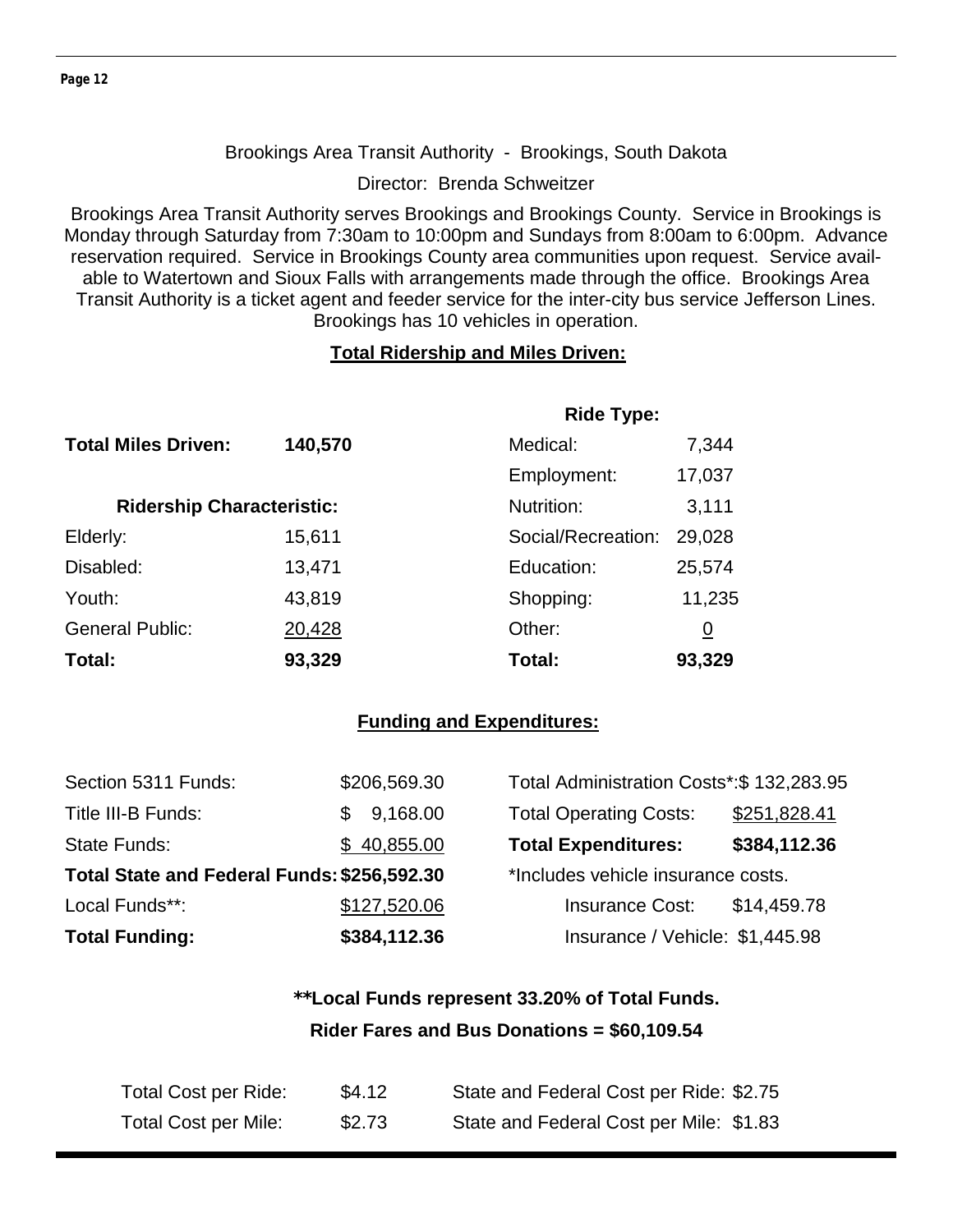#### Brookings Area Transit Authority - Brookings, South Dakota

Director: Brenda Schweitzer

Brookings Area Transit Authority serves Brookings and Brookings County. Service in Brookings is Monday through Saturday from 7:30am to 10:00pm and Sundays from 8:00am to 6:00pm. Advance reservation required. Service in Brookings County area communities upon request. Service available to Watertown and Sioux Falls with arrangements made through the office. Brookings Area Transit Authority is a ticket agent and feeder service for the inter-city bus service Jefferson Lines. Brookings has 10 vehicles in operation.

#### **Total Ridership and Miles Driven:**

|                                  | <b>Ride Type:</b> |                    |                |  |
|----------------------------------|-------------------|--------------------|----------------|--|
| <b>Total Miles Driven:</b>       | 140,570           | Medical:           | 7,344          |  |
|                                  |                   | Employment:        | 17,037         |  |
| <b>Ridership Characteristic:</b> |                   | Nutrition:         | 3,111          |  |
| Elderly:                         | 15,611            | Social/Recreation: | 29,028         |  |
| Disabled:                        | 13,471            | Education:         | 25,574         |  |
| Youth:                           | 43,819            | Shopping:          | 11,235         |  |
| <b>General Public:</b>           | 20,428            | Other:             | $\overline{0}$ |  |
| Total:                           | 93,329            | Total:             | 93,329         |  |

#### **Funding and Expenditures:**

| Section 5311 Funds:                         | \$206,569.30 | Total Administration Costs*: \$132,283.95 |              |
|---------------------------------------------|--------------|-------------------------------------------|--------------|
| Title III-B Funds:                          | 9,168.00     | <b>Total Operating Costs:</b>             | \$251,828.41 |
| <b>State Funds:</b>                         | \$40,855.00  | <b>Total Expenditures:</b>                | \$384,112.36 |
| Total State and Federal Funds: \$256,592.30 |              | *Includes vehicle insurance costs.        |              |
| Local Funds**:                              | \$127,520.06 | <b>Insurance Cost:</b>                    | \$14,459.78  |
| <b>Total Funding:</b>                       | \$384,112.36 | Insurance / Vehicle: \$1,445.98           |              |

## **\*\*Local Funds represent 33.20% of Total Funds. Rider Fares and Bus Donations = \$60,109.54**

| Total Cost per Ride: | \$4.12 | State and Federal Cost per Ride: \$2.75 |
|----------------------|--------|-----------------------------------------|
| Total Cost per Mile: | \$2.73 | State and Federal Cost per Mile: \$1.83 |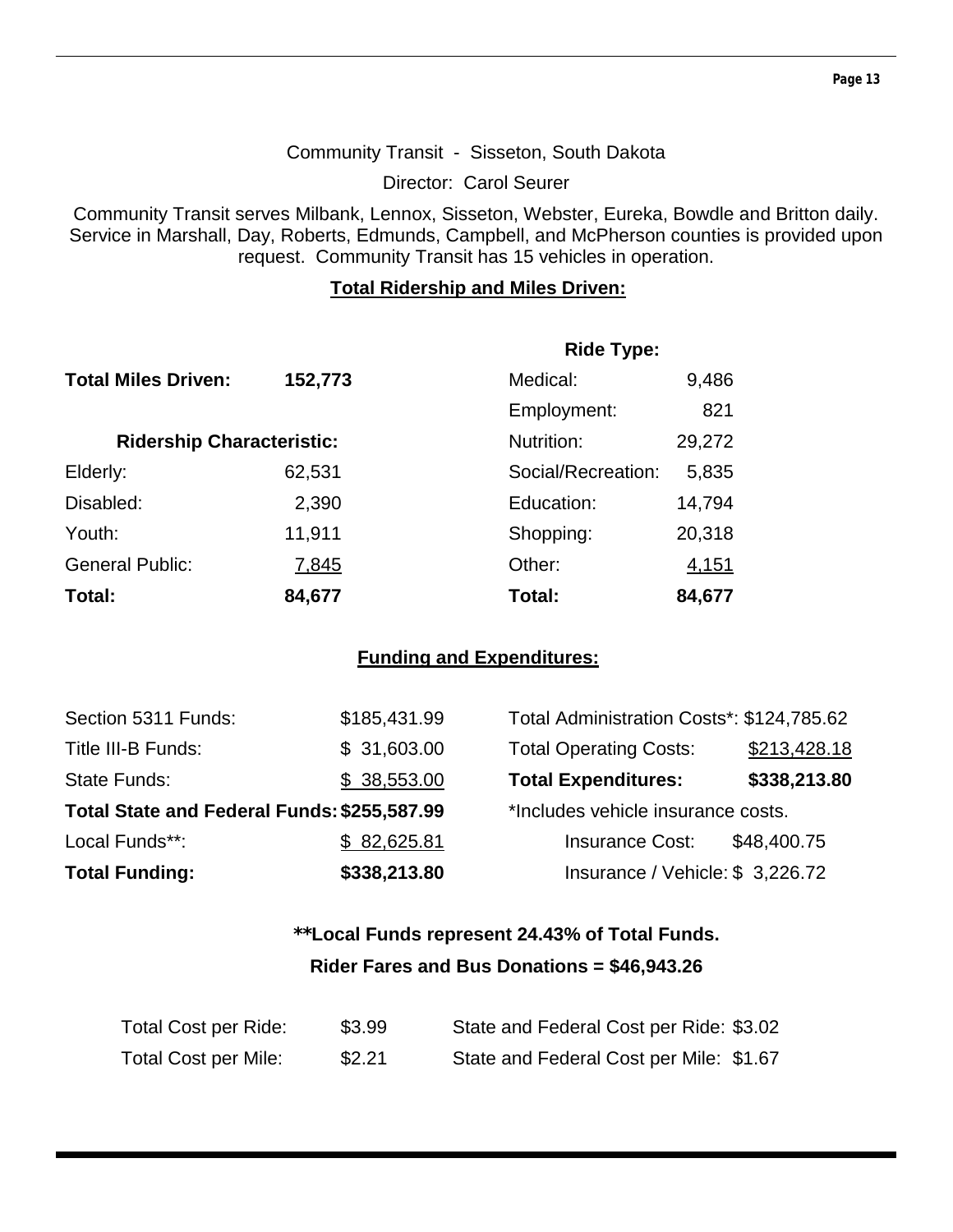#### Community Transit - Sisseton, South Dakota

Director: Carol Seurer

Community Transit serves Milbank, Lennox, Sisseton, Webster, Eureka, Bowdle and Britton daily. Service in Marshall, Day, Roberts, Edmunds, Campbell, and McPherson counties is provided upon request. Community Transit has 15 vehicles in operation.

#### **Total Ridership and Miles Driven:**

|                                  |         | <b>Ride Type:</b>  |        |
|----------------------------------|---------|--------------------|--------|
| <b>Total Miles Driven:</b>       | 152,773 | Medical:           | 9,486  |
|                                  |         | Employment:        | 821    |
| <b>Ridership Characteristic:</b> |         | Nutrition:         | 29,272 |
| Elderly:                         | 62,531  | Social/Recreation: | 5,835  |
| Disabled:                        | 2,390   | Education:         | 14,794 |
| Youth:                           | 11,911  | Shopping:          | 20,318 |
| <b>General Public:</b>           | 7,845   | Other:             | 4,151  |
| Total:                           | 84,677  | Total:             | 84,677 |

#### **Funding and Expenditures:**

| Section 5311 Funds:                         | \$185,431.99 | Total Administration Costs*: \$124,785.62 |              |
|---------------------------------------------|--------------|-------------------------------------------|--------------|
| Title III-B Funds:                          | \$31,603.00  | <b>Total Operating Costs:</b>             | \$213,428.18 |
| State Funds:                                | \$38,553.00  | <b>Total Expenditures:</b>                | \$338,213.80 |
| Total State and Federal Funds: \$255,587.99 |              | *Includes vehicle insurance costs.        |              |
| Local Funds**:                              | \$82,625.81  | <b>Insurance Cost:</b>                    | \$48,400.75  |
| <b>Total Funding:</b>                       | \$338,213.80 | Insurance / Vehicle: \$3,226.72           |              |

## **\*\*Local Funds represent 24.43% of Total Funds. Rider Fares and Bus Donations = \$46,943.26**

| Total Cost per Ride:        | \$3.99 | State and Federal Cost per Ride: \$3.02 |
|-----------------------------|--------|-----------------------------------------|
| <b>Total Cost per Mile:</b> | \$2.21 | State and Federal Cost per Mile: \$1.67 |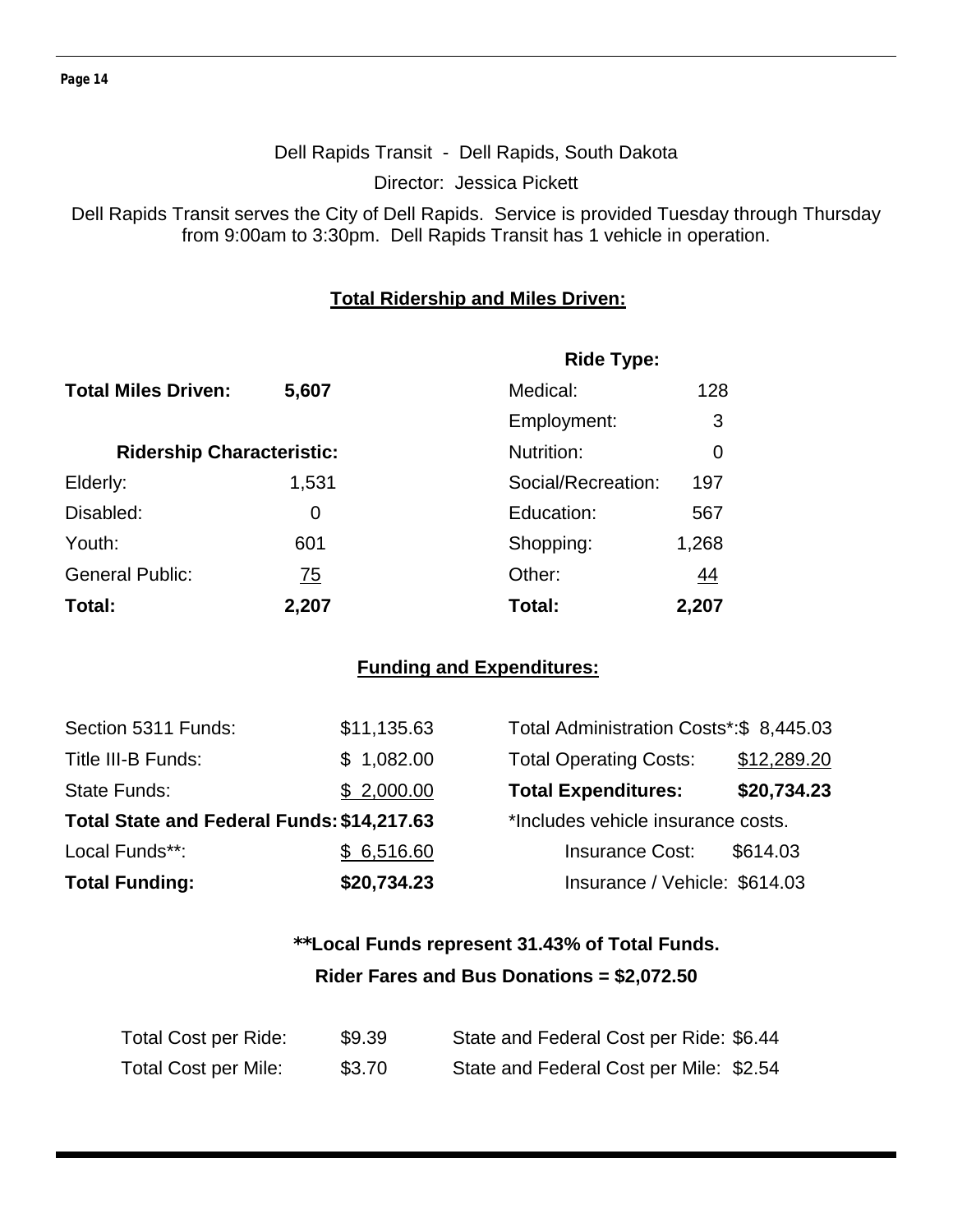#### Dell Rapids Transit - Dell Rapids, South Dakota

Director: Jessica Pickett

Dell Rapids Transit serves the City of Dell Rapids. Service is provided Tuesday through Thursday from 9:00am to 3:30pm. Dell Rapids Transit has 1 vehicle in operation.

#### **Total Ridership and Miles Driven:**

|                                  |           | <b>Ride Type:</b>  |       |
|----------------------------------|-----------|--------------------|-------|
| <b>Total Miles Driven:</b>       | 5,607     | Medical:           | 128   |
|                                  |           | Employment:        | 3     |
| <b>Ridership Characteristic:</b> |           | Nutrition:         | 0     |
| Elderly:                         | 1,531     | Social/Recreation: | 197   |
| Disabled:                        | 0         | Education:         | 567   |
| Youth:                           | 601       | Shopping:          | 1,268 |
| <b>General Public:</b>           | <u>75</u> | Other:             | 44    |
| Total:                           | 2,207     | Total:             | 2,207 |

#### **Funding and Expenditures:**

| <b>Total Funding:</b>                      | \$20,734.23 | Insurance / Vehicle: \$614.03           |             |
|--------------------------------------------|-------------|-----------------------------------------|-------------|
| Local Funds**:                             | \$6,516.60  | <b>Insurance Cost:</b>                  | \$614.03    |
| Total State and Federal Funds: \$14,217.63 |             | *Includes vehicle insurance costs.      |             |
| <b>State Funds:</b>                        | \$2,000.00  | <b>Total Expenditures:</b>              | \$20,734.23 |
| Title III-B Funds:                         | \$1,082.00  | <b>Total Operating Costs:</b>           | \$12,289.20 |
| Section 5311 Funds:                        | \$11,135.63 | Total Administration Costs*:\$ 8,445.03 |             |

| Total Administration Costs*: \$8,445.03 |             |
|-----------------------------------------|-------------|
| <b>Total Operating Costs:</b>           | \$12,289.20 |
| <b>Total Expenditures:</b>              | \$20,734.23 |
| *Includes vehicle insurance costs.      |             |
| <b>Insurance Cost:</b>                  | \$614.03    |
| Insurance / Vehicle: \$614.03           |             |

## **\*\*Local Funds represent 31.43% of Total Funds. Rider Fares and Bus Donations = \$2,072.50**

| Total Cost per Ride:        | \$9.39 | State and Federal Cost per Ride: \$6.44 |
|-----------------------------|--------|-----------------------------------------|
| <b>Total Cost per Mile:</b> | \$3.70 | State and Federal Cost per Mile: \$2.54 |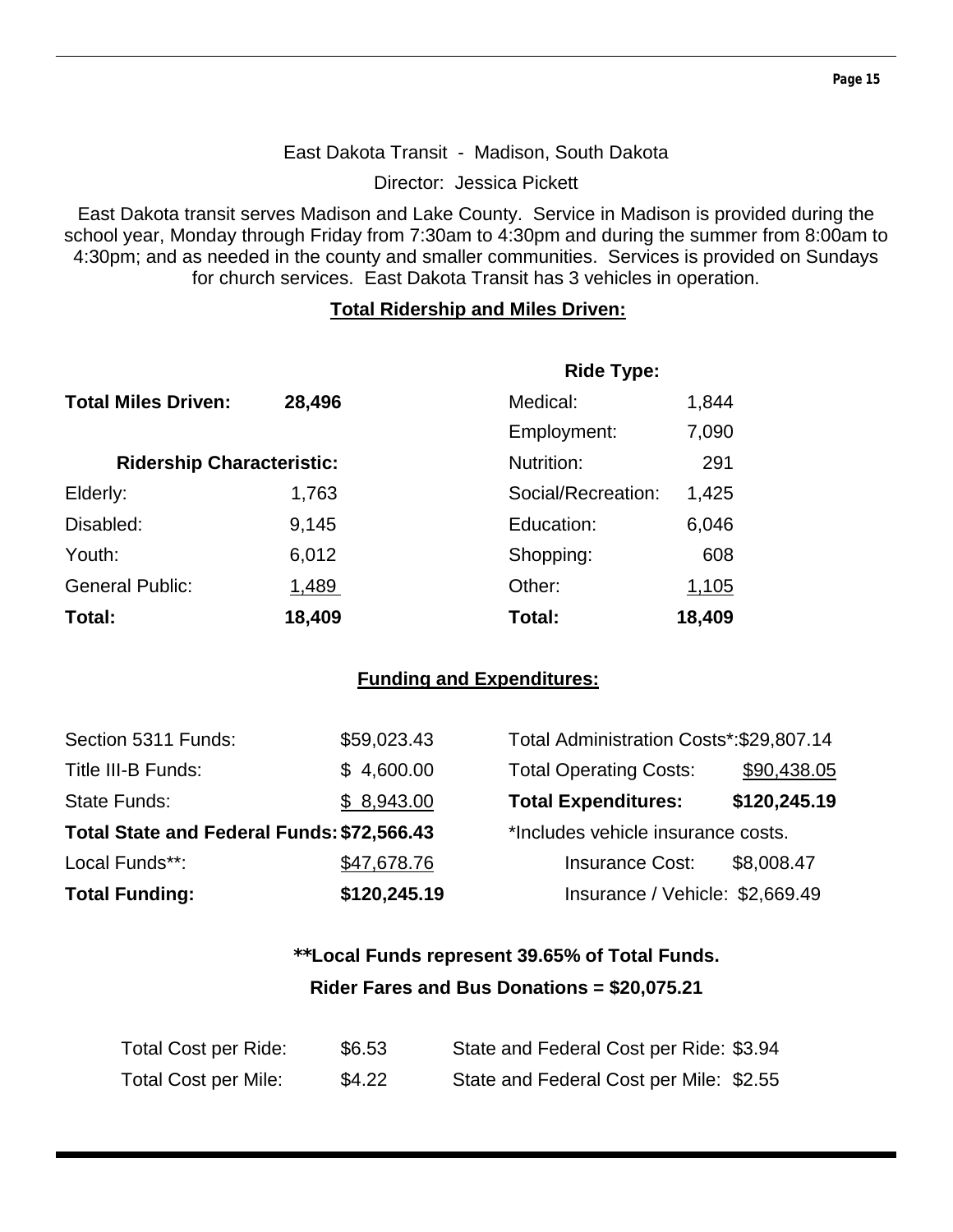#### East Dakota Transit - Madison, South Dakota

Director: Jessica Pickett

East Dakota transit serves Madison and Lake County. Service in Madison is provided during the school year, Monday through Friday from 7:30am to 4:30pm and during the summer from 8:00am to 4:30pm; and as needed in the county and smaller communities. Services is provided on Sundays for church services. East Dakota Transit has 3 vehicles in operation.

#### **Total Ridership and Miles Driven:**

|                                  |        | <b>Ride Type:</b>  |        |
|----------------------------------|--------|--------------------|--------|
| <b>Total Miles Driven:</b>       | 28,496 | Medical:           | 1,844  |
|                                  |        | Employment:        | 7,090  |
| <b>Ridership Characteristic:</b> |        | Nutrition:         | 291    |
| Elderly:                         | 1,763  | Social/Recreation: | 1,425  |
| Disabled:                        | 9,145  | Education:         | 6,046  |
| Youth:                           | 6,012  | Shopping:          | 608    |
| <b>General Public:</b>           | 1,489  | Other:             | 1,105  |
| Total:                           | 18,409 | Total:             | 18,409 |

#### **Funding and Expenditures:**

| Section 5311 Funds:                        | \$59,023.43  | Total Administration Costs*:\$29,807.14 |              |
|--------------------------------------------|--------------|-----------------------------------------|--------------|
| Title III-B Funds:                         | \$4,600.00   | <b>Total Operating Costs:</b>           | \$90,438.05  |
| <b>State Funds:</b>                        | \$8,943.00   | <b>Total Expenditures:</b>              | \$120,245.19 |
| Total State and Federal Funds: \$72,566.43 |              | *Includes vehicle insurance costs.      |              |
| Local Funds**:                             | \$47,678.76  | <b>Insurance Cost:</b>                  | \$8,008.47   |
| <b>Total Funding:</b>                      | \$120,245.19 | Insurance / Vehicle: \$2,669.49         |              |

## **\*\*Local Funds represent 39.65% of Total Funds. Rider Fares and Bus Donations = \$20,075.21**

| Total Cost per Ride: | \$6.53 | State and Federal Cost per Ride: \$3.94 |
|----------------------|--------|-----------------------------------------|
| Total Cost per Mile: | \$4.22 | State and Federal Cost per Mile: \$2.55 |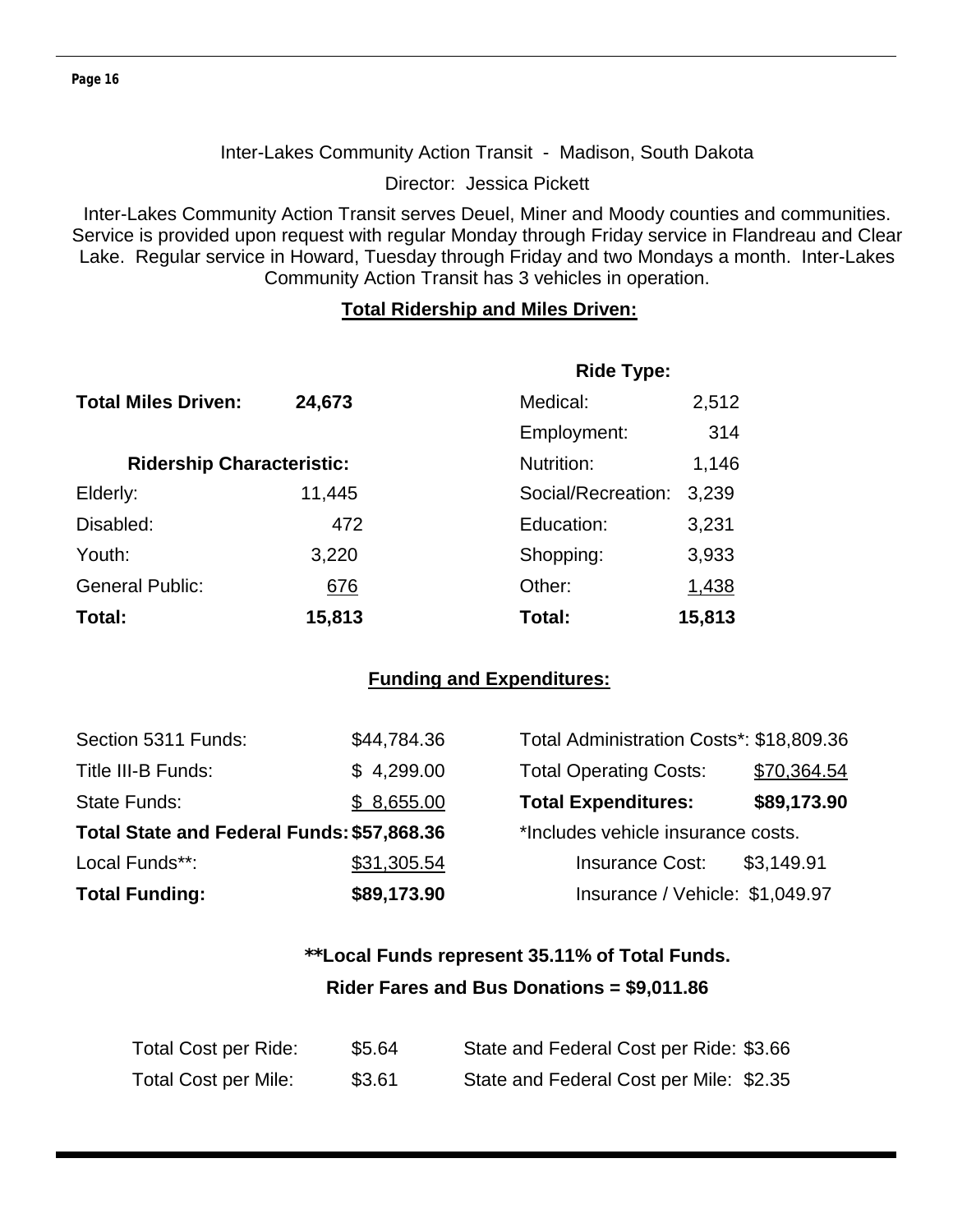#### Inter-Lakes Community Action Transit - Madison, South Dakota

Director: Jessica Pickett

Inter-Lakes Community Action Transit serves Deuel, Miner and Moody counties and communities. Service is provided upon request with regular Monday through Friday service in Flandreau and Clear Lake. Regular service in Howard, Tuesday through Friday and two Mondays a month. Inter-Lakes Community Action Transit has 3 vehicles in operation.

#### **Total Ridership and Miles Driven:**

|                                  |        | <b>Ride Type:</b>  |        |
|----------------------------------|--------|--------------------|--------|
| <b>Total Miles Driven:</b>       | 24,673 | Medical:           | 2,512  |
|                                  |        | Employment:        | 314    |
| <b>Ridership Characteristic:</b> |        | Nutrition:         | 1,146  |
| Elderly:                         | 11,445 | Social/Recreation: | 3,239  |
| Disabled:                        | 472    | Education:         | 3,231  |
| Youth:                           | 3,220  | Shopping:          | 3,933  |
| <b>General Public:</b>           | 676    | Other:             | 1,438  |
| Total:                           | 15,813 | Total:             | 15,813 |

#### **Funding and Expenditures:**

| Section 5311 Funds:                        | \$44,784.36 | Total Administration Costs*: \$18,809.36 |             |
|--------------------------------------------|-------------|------------------------------------------|-------------|
| Title III-B Funds:                         | \$4,299.00  | <b>Total Operating Costs:</b>            | \$70,364.54 |
| State Funds:                               | \$8,655.00  | <b>Total Expenditures:</b>               | \$89,173.90 |
| Total State and Federal Funds: \$57,868.36 |             | *Includes vehicle insurance costs.       |             |
| Local Funds**:                             | \$31,305.54 | <b>Insurance Cost:</b>                   | \$3,149.91  |
| <b>Total Funding:</b>                      | \$89,173.90 | Insurance / Vehicle: \$1,049.97          |             |

## **\*\*Local Funds represent 35.11% of Total Funds. Rider Fares and Bus Donations = \$9,011.86**

| Total Cost per Ride:        | \$5.64 | State and Federal Cost per Ride: \$3.66 |
|-----------------------------|--------|-----------------------------------------|
| <b>Total Cost per Mile:</b> | \$3.61 | State and Federal Cost per Mile: \$2.35 |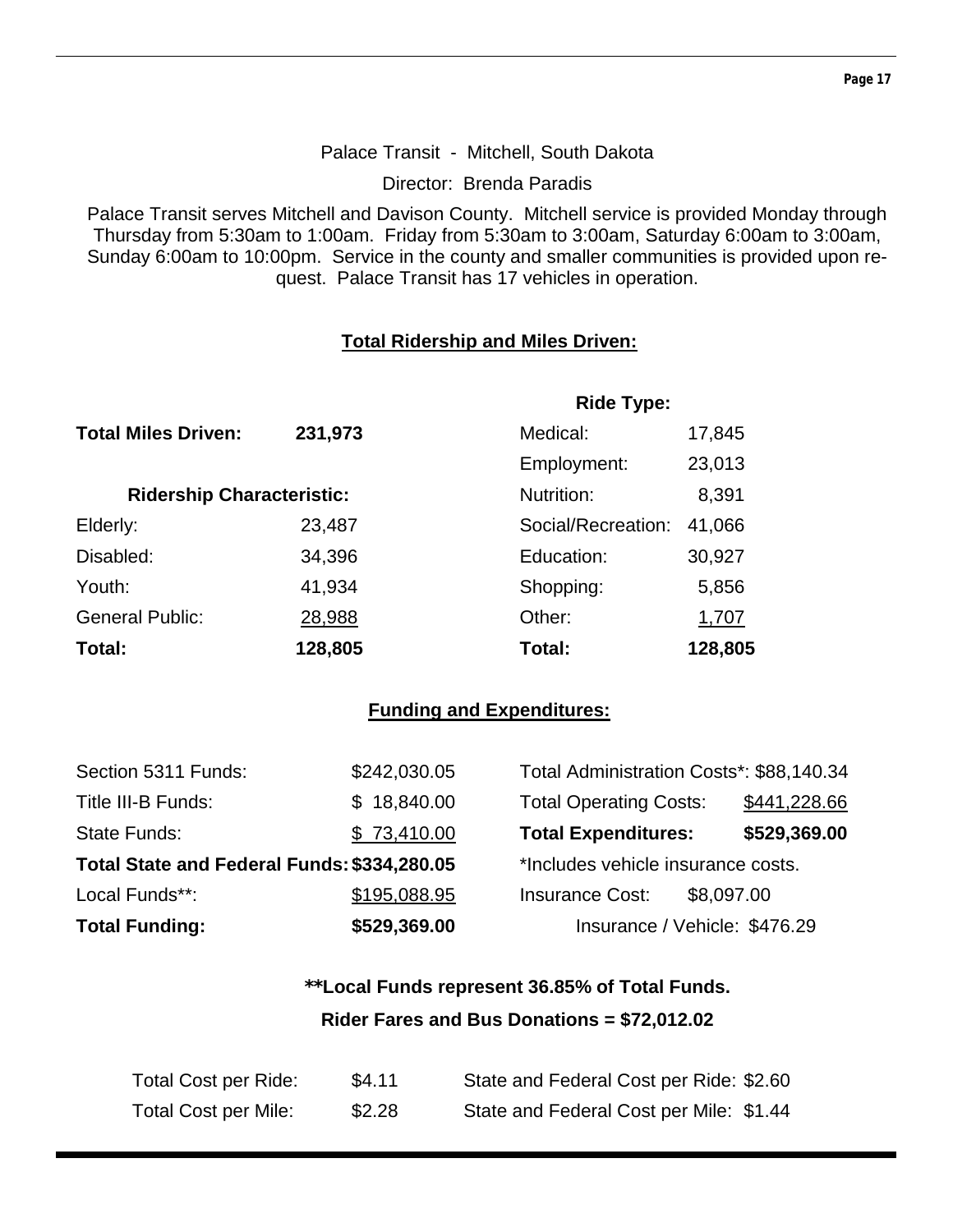#### Palace Transit - Mitchell, South Dakota

Director: Brenda Paradis

Palace Transit serves Mitchell and Davison County. Mitchell service is provided Monday through Thursday from 5:30am to 1:00am. Friday from 5:30am to 3:00am, Saturday 6:00am to 3:00am, Sunday 6:00am to 10:00pm. Service in the county and smaller communities is provided upon request. Palace Transit has 17 vehicles in operation.

#### **Total Ridership and Miles Driven:**

|                                  |         | <b>Ride Type:</b>  |         |  |
|----------------------------------|---------|--------------------|---------|--|
| <b>Total Miles Driven:</b>       | 231,973 | Medical:           | 17,845  |  |
|                                  |         | Employment:        | 23,013  |  |
| <b>Ridership Characteristic:</b> |         | Nutrition:         | 8,391   |  |
| Elderly:                         | 23,487  | Social/Recreation: | 41,066  |  |
| Disabled:                        | 34,396  | Education:         | 30,927  |  |
| Youth:                           | 41,934  | Shopping:          | 5,856   |  |
| <b>General Public:</b>           | 28,988  | Other:             | 1,707   |  |
| Total:                           | 128,805 | Total:             | 128,805 |  |

#### **Funding and Expenditures:**

| Section 5311 Funds:                         | \$242,030.05 | Total Administration Costs*: \$88,140.34 |              |
|---------------------------------------------|--------------|------------------------------------------|--------------|
| Title III-B Funds:                          | \$18,840.00  | <b>Total Operating Costs:</b>            | \$441,228.66 |
| State Funds:                                | \$73,410.00  | <b>Total Expenditures:</b>               | \$529,369.00 |
| Total State and Federal Funds: \$334,280.05 |              | *Includes vehicle insurance costs.       |              |
| Local Funds**:                              | \$195,088.95 | <b>Insurance Cost:</b><br>\$8,097.00     |              |
| <b>Total Funding:</b>                       | \$529,369.00 | Insurance / Vehicle: \$476.29            |              |

## **\*\*Local Funds represent 36.85% of Total Funds. Rider Fares and Bus Donations = \$72,012.02**

| Total Cost per Ride:        | \$4.11 | State and Federal Cost per Ride: \$2.60 |
|-----------------------------|--------|-----------------------------------------|
| <b>Total Cost per Mile:</b> | \$2.28 | State and Federal Cost per Mile: \$1.44 |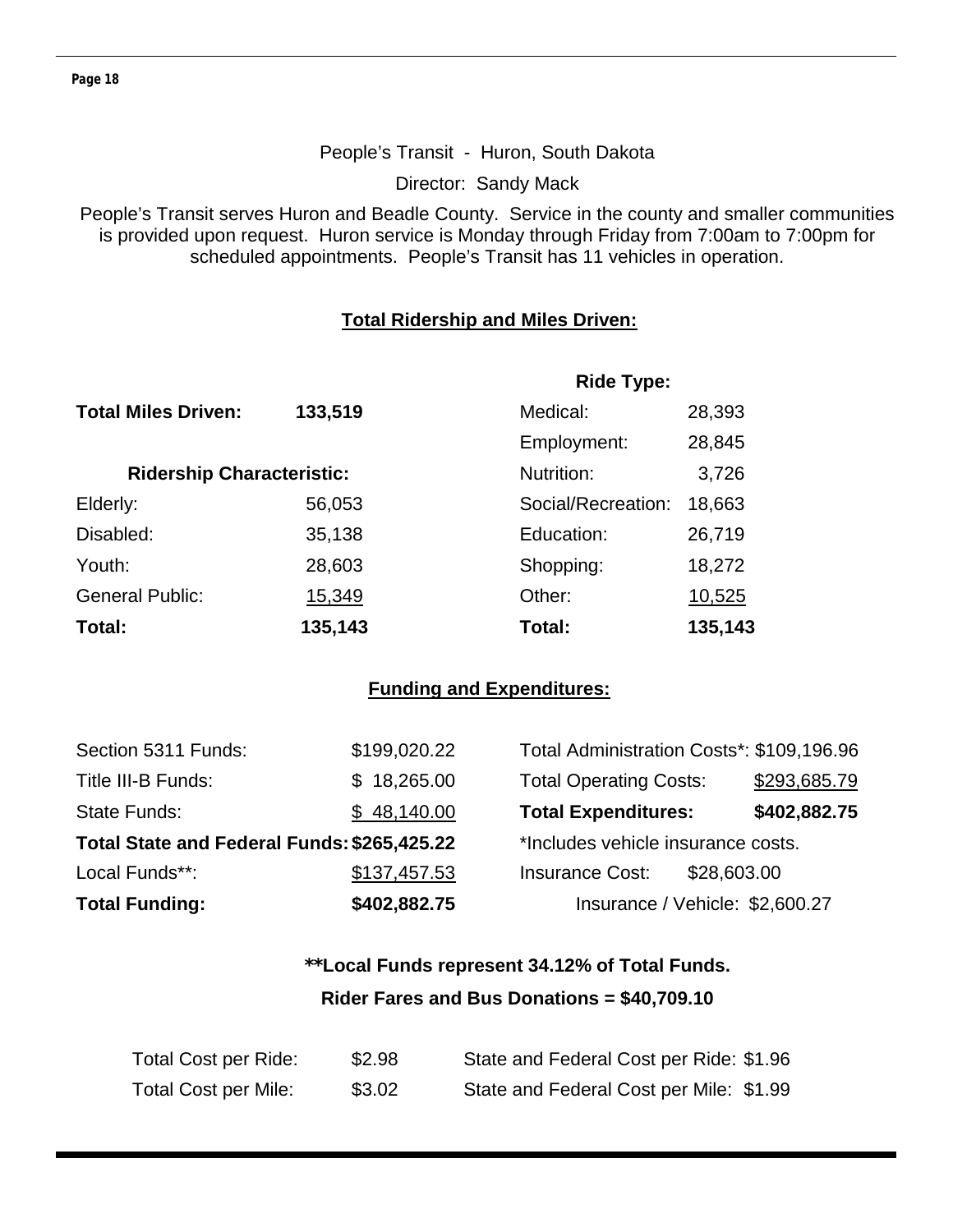#### People's Transit - Huron, South Dakota

Director: Sandy Mack

People's Transit serves Huron and Beadle County. Service in the county and smaller communities is provided upon request. Huron service is Monday through Friday from 7:00am to 7:00pm for scheduled appointments. People's Transit has 11 vehicles in operation.

#### **Total Ridership and Miles Driven:**

|                                  |         | <b>Ride Type:</b>  |         |  |
|----------------------------------|---------|--------------------|---------|--|
| <b>Total Miles Driven:</b>       | 133,519 | Medical:           | 28,393  |  |
|                                  |         | Employment:        | 28,845  |  |
| <b>Ridership Characteristic:</b> |         | Nutrition:         | 3,726   |  |
| Elderly:                         | 56,053  | Social/Recreation: | 18,663  |  |
| Disabled:                        | 35,138  | Education:         | 26,719  |  |
| Youth:                           | 28,603  | Shopping:          | 18,272  |  |
| <b>General Public:</b>           | 15,349  | Other:             | 10,525  |  |
| Total:                           | 135,143 | Total:             | 135,143 |  |

#### **Funding and Expenditures:**

| <b>Total Funding:</b>                       | \$402,882.75 | Insurance / Vehicle: \$2,600.27           |              |
|---------------------------------------------|--------------|-------------------------------------------|--------------|
| Local Funds**:                              | \$137,457.53 | <b>Insurance Cost:</b><br>\$28,603.00     |              |
| Total State and Federal Funds: \$265,425.22 |              | *Includes vehicle insurance costs.        |              |
| <b>State Funds:</b>                         | \$48,140.00  | <b>Total Expenditures:</b>                | \$402,882.75 |
| Title III-B Funds:                          | \$18,265.00  | <b>Total Operating Costs:</b>             | \$293,685.79 |
| Section 5311 Funds:                         | \$199,020.22 | Total Administration Costs*: \$109,196.96 |              |

## **\*\*Local Funds represent 34.12% of Total Funds. Rider Fares and Bus Donations = \$40,709.10**

| <b>Total Cost per Ride:</b> | \$2.98 | State and Federal Cost per Ride: \$1.96 |
|-----------------------------|--------|-----------------------------------------|
| <b>Total Cost per Mile:</b> | \$3.02 | State and Federal Cost per Mile: \$1.99 |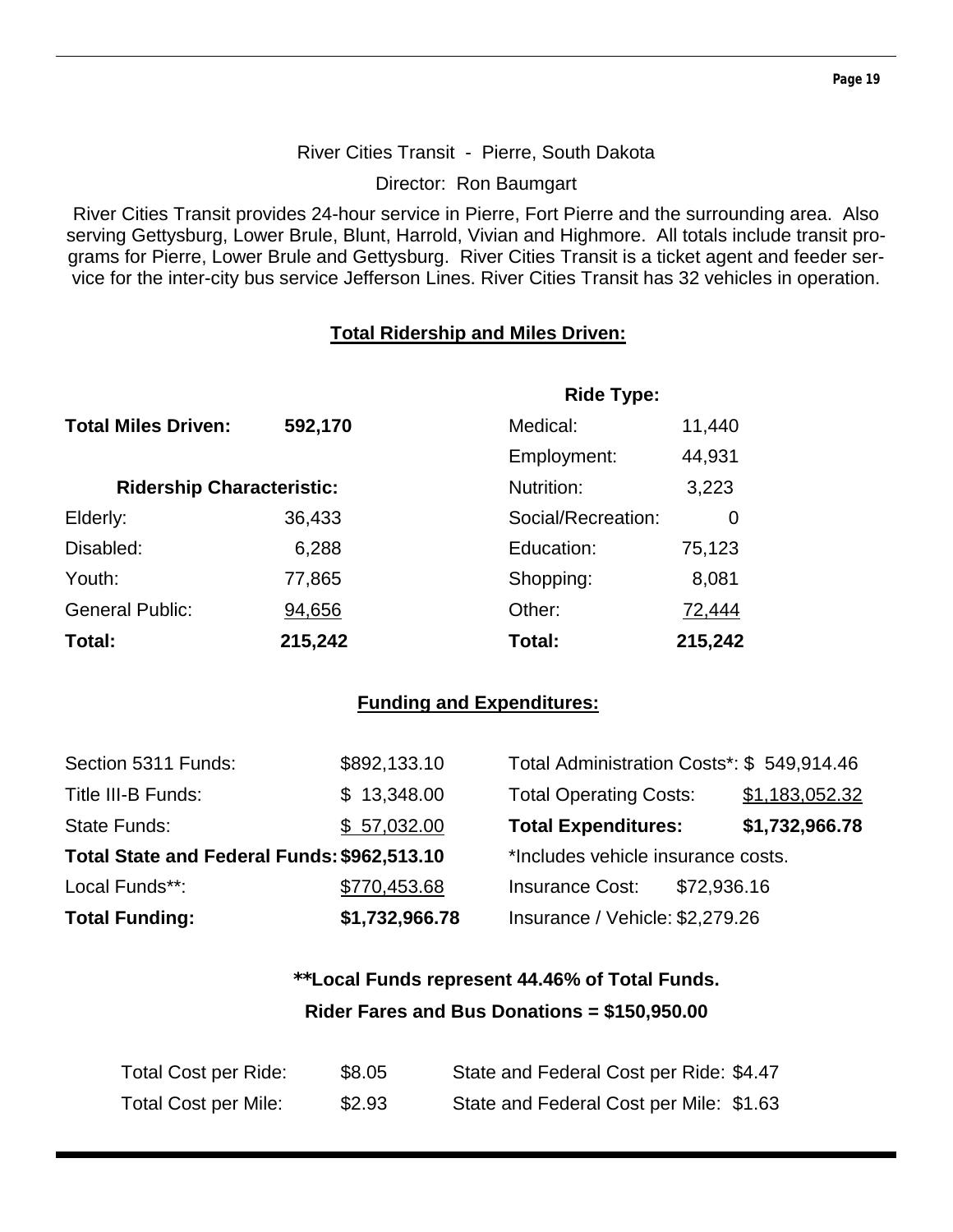#### **Page 19**

#### River Cities Transit - Pierre, South Dakota

Director: Ron Baumgart

River Cities Transit provides 24-hour service in Pierre, Fort Pierre and the surrounding area. Also serving Gettysburg, Lower Brule, Blunt, Harrold, Vivian and Highmore. All totals include transit programs for Pierre, Lower Brule and Gettysburg. River Cities Transit is a ticket agent and feeder service for the inter-city bus service Jefferson Lines. River Cities Transit has 32 vehicles in operation.

#### **Total Ridership and Miles Driven:**

|                                  |         | <b>Ride Type:</b>  |         |
|----------------------------------|---------|--------------------|---------|
| <b>Total Miles Driven:</b>       | 592,170 | Medical:           | 11,440  |
|                                  |         | Employment:        | 44,931  |
| <b>Ridership Characteristic:</b> |         | Nutrition:         | 3,223   |
| Elderly:                         | 36,433  | Social/Recreation: | 0       |
| Disabled:                        | 6,288   | Education:         | 75,123  |
| Youth:                           | 77,865  | Shopping:          | 8,081   |
| <b>General Public:</b>           | 94,656  | Other:             | 72,444  |
| Total:                           | 215,242 | Total:             | 215,242 |

#### **Funding and Expenditures:**

| <b>Total Funding:</b>                       | \$1,732,966.78 | Insurance / Vehicle: \$2,279.26           |                |
|---------------------------------------------|----------------|-------------------------------------------|----------------|
| Local Funds**:                              | \$770,453.68   | <b>Insurance Cost:</b><br>\$72,936.16     |                |
| Total State and Federal Funds: \$962,513.10 |                | *Includes vehicle insurance costs.        |                |
| <b>State Funds:</b>                         | \$57,032.00    | <b>Total Expenditures:</b>                | \$1,732,966.78 |
| Title III-B Funds:                          | \$13,348.00    | <b>Total Operating Costs:</b>             | \$1,183,052.32 |
| Section 5311 Funds:                         | \$892,133.10   | Total Administration Costs*: \$549,914.46 |                |

## **\*\*Local Funds represent 44.46% of Total Funds. Rider Fares and Bus Donations = \$150,950.00**

| Total Cost per Ride: | \$8.05 | State and Federal Cost per Ride: \$4.47 |
|----------------------|--------|-----------------------------------------|
| Total Cost per Mile: | \$2.93 | State and Federal Cost per Mile: \$1.63 |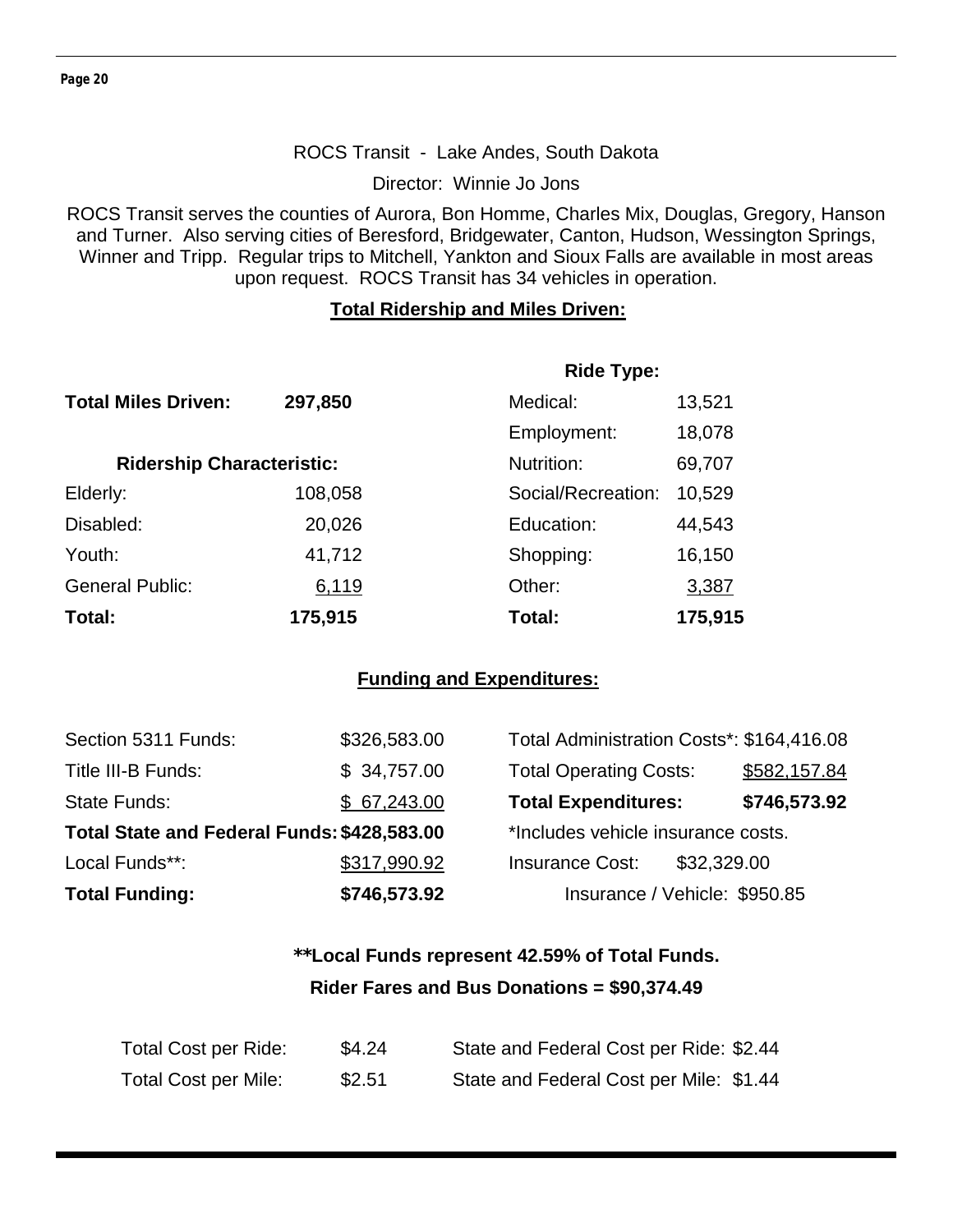#### ROCS Transit - Lake Andes, South Dakota

Director: Winnie Jo Jons

ROCS Transit serves the counties of Aurora, Bon Homme, Charles Mix, Douglas, Gregory, Hanson and Turner. Also serving cities of Beresford, Bridgewater, Canton, Hudson, Wessington Springs, Winner and Tripp. Regular trips to Mitchell, Yankton and Sioux Falls are available in most areas upon request. ROCS Transit has 34 vehicles in operation.

#### **Total Ridership and Miles Driven:**

|                                  |         | <b>Ride Type:</b>  |         |
|----------------------------------|---------|--------------------|---------|
| <b>Total Miles Driven:</b>       | 297,850 | Medical:           | 13,521  |
|                                  |         | Employment:        | 18,078  |
| <b>Ridership Characteristic:</b> |         | Nutrition:         | 69,707  |
| Elderly:                         | 108,058 | Social/Recreation: | 10,529  |
| Disabled:                        | 20,026  | Education:         | 44,543  |
| Youth:                           | 41,712  | Shopping:          | 16,150  |
| <b>General Public:</b>           | 6,119   | Other:             | 3,387   |
| Total:                           | 175,915 | Total:             | 175,915 |

#### **Funding and Expenditures:**

| Section 5311 Funds:                         | \$326,583.00 | Total Administration Costs*: \$164,416.08 |              |
|---------------------------------------------|--------------|-------------------------------------------|--------------|
| Title III-B Funds:                          | \$34,757.00  | <b>Total Operating Costs:</b>             | \$582,157.84 |
| State Funds:                                | \$67,243.00  | <b>Total Expenditures:</b>                | \$746,573.92 |
| Total State and Federal Funds: \$428,583.00 |              | *Includes vehicle insurance costs.        |              |
| Local Funds**:                              | \$317,990.92 | \$32,329.00<br><b>Insurance Cost:</b>     |              |
| <b>Total Funding:</b>                       | \$746,573.92 | Insurance / Vehicle: \$950.85             |              |

## **\*\*Local Funds represent 42.59% of Total Funds. Rider Fares and Bus Donations = \$90,374.49**

| Total Cost per Ride:        | \$4.24 | State and Federal Cost per Ride: \$2.44 |
|-----------------------------|--------|-----------------------------------------|
| <b>Total Cost per Mile:</b> | \$2.51 | State and Federal Cost per Mile: \$1.44 |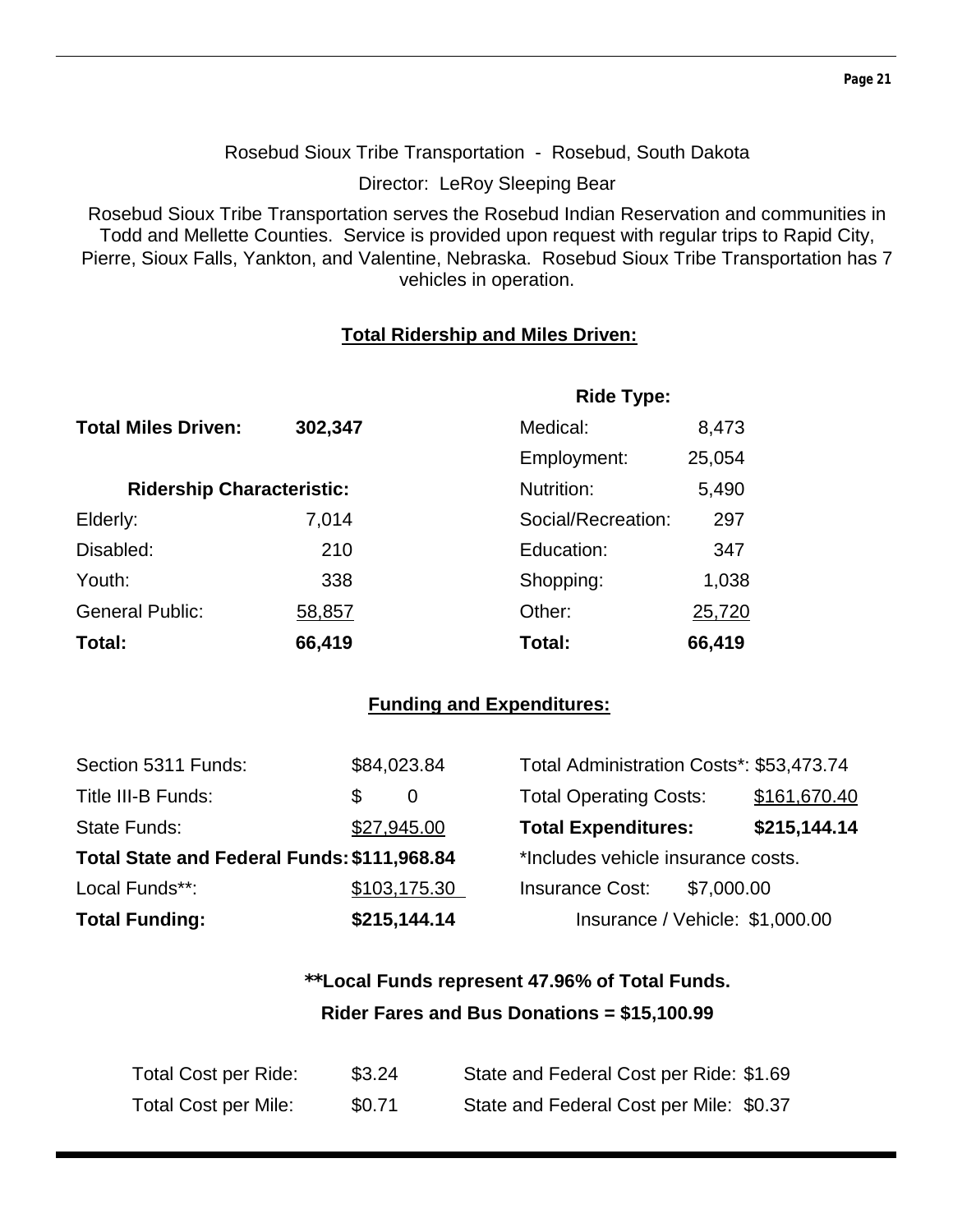**Page 21** 

Rosebud Sioux Tribe Transportation - Rosebud, South Dakota

Director: LeRoy Sleeping Bear

Rosebud Sioux Tribe Transportation serves the Rosebud Indian Reservation and communities in Todd and Mellette Counties. Service is provided upon request with regular trips to Rapid City, Pierre, Sioux Falls, Yankton, and Valentine, Nebraska. Rosebud Sioux Tribe Transportation has 7 vehicles in operation.

#### **Total Ridership and Miles Driven:**

|                                  |         | <b>Ride Type:</b>  |        |
|----------------------------------|---------|--------------------|--------|
| <b>Total Miles Driven:</b>       | 302,347 | Medical:           | 8,473  |
|                                  |         | Employment:        | 25,054 |
| <b>Ridership Characteristic:</b> |         | Nutrition:         | 5,490  |
| Elderly:                         | 7,014   | Social/Recreation: | 297    |
| Disabled:                        | 210     | Education:         | 347    |
| Youth:                           | 338     | Shopping:          | 1,038  |
| <b>General Public:</b>           | 58,857  | Other:             | 25,720 |
| Total:                           | 66,419  | Total:             | 66,419 |

#### **Funding and Expenditures:**

| Section 5311 Funds:                         | \$84,023.84  | Total Administration Costs*: \$53,473.74 |              |
|---------------------------------------------|--------------|------------------------------------------|--------------|
| Title III-B Funds:                          | S<br>0       | <b>Total Operating Costs:</b>            | \$161,670.40 |
| State Funds:                                | \$27,945.00  | <b>Total Expenditures:</b>               | \$215,144.14 |
| Total State and Federal Funds: \$111,968.84 |              | *Includes vehicle insurance costs.       |              |
| Local Funds**:                              | \$103,175.30 | <b>Insurance Cost:</b>                   | \$7,000.00   |
| <b>Total Funding:</b>                       | \$215,144.14 | Insurance / Vehicle: \$1,000.00          |              |

## **\*\*Local Funds represent 47.96% of Total Funds. Rider Fares and Bus Donations = \$15,100.99**

| Total Cost per Ride:        | \$3.24 | State and Federal Cost per Ride: \$1.69 |
|-----------------------------|--------|-----------------------------------------|
| <b>Total Cost per Mile:</b> | \$0.71 | State and Federal Cost per Mile: \$0.37 |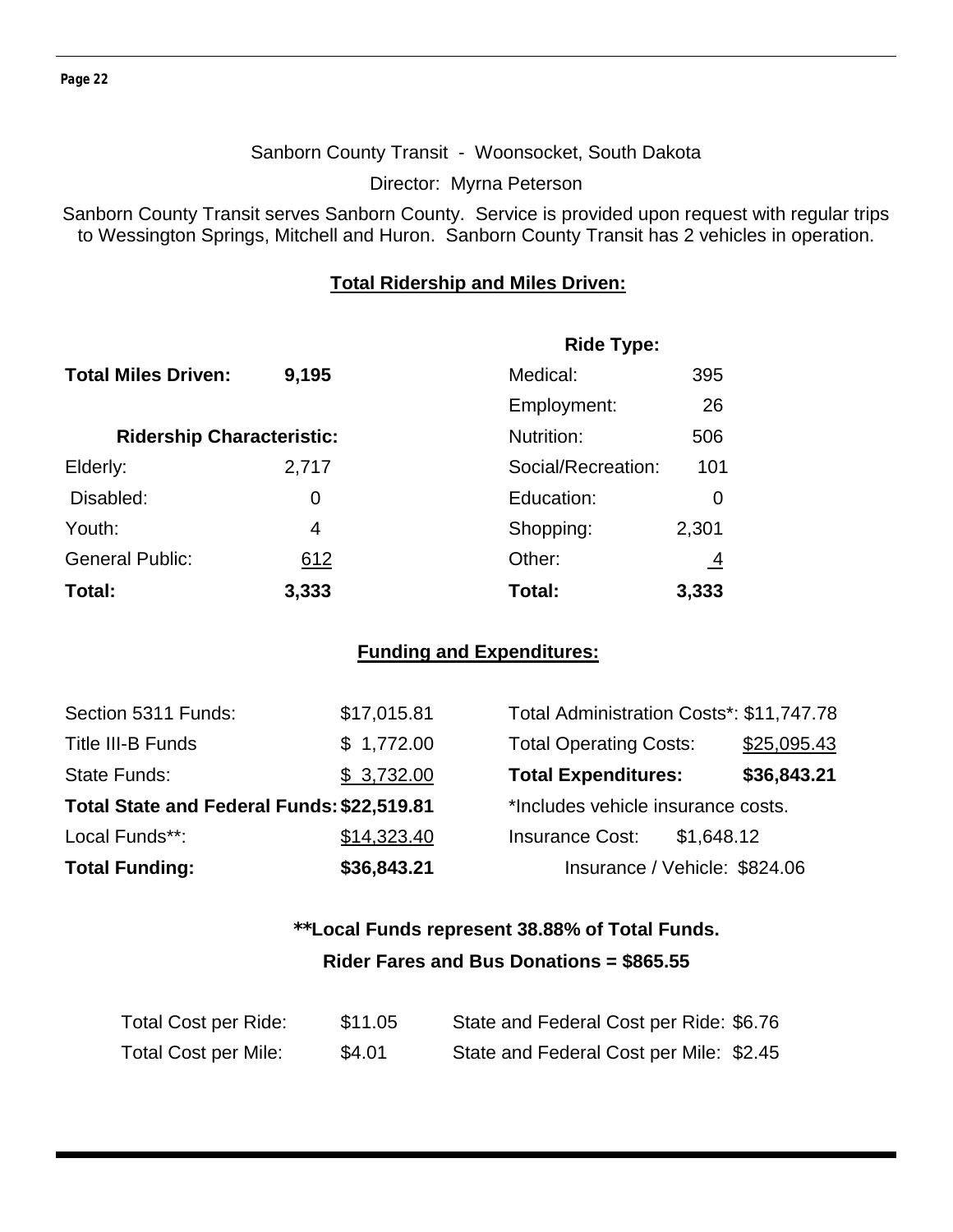#### Sanborn County Transit - Woonsocket, South Dakota

Director: Myrna Peterson

Sanborn County Transit serves Sanborn County. Service is provided upon request with regular trips to Wessington Springs, Mitchell and Huron. Sanborn County Transit has 2 vehicles in operation.

#### **Total Ridership and Miles Driven:**

|                                  |       | <b>Ride Type:</b>  |                |
|----------------------------------|-------|--------------------|----------------|
| <b>Total Miles Driven:</b>       | 9,195 | Medical:           | 395            |
|                                  |       | Employment:        | 26             |
| <b>Ridership Characteristic:</b> |       | Nutrition:         | 506            |
| Elderly:                         | 2,717 | Social/Recreation: | 101            |
| Disabled:                        | 0     | Education:         | 0              |
| Youth:                           | 4     | Shopping:          | 2,301          |
| <b>General Public:</b>           | 612   | Other:             | $\overline{4}$ |
| Total:                           | 3,333 | Total:             | 3,333          |

#### **Funding and Expenditures:**

| Section 5311 Funds:                        | \$17,015.81 | Total Administration Costs*: \$11,747.78 |             |
|--------------------------------------------|-------------|------------------------------------------|-------------|
| Title III-B Funds                          | \$1,772.00  | <b>Total Operating Costs:</b>            | \$25,095.43 |
| State Funds:                               | \$3,732.00  | <b>Total Expenditures:</b>               | \$36,843.21 |
| Total State and Federal Funds: \$22,519.81 |             | *Includes vehicle insurance costs.       |             |
| Local Funds**:                             | \$14,323.40 | <b>Insurance Cost:</b><br>\$1,648.12     |             |
| <b>Total Funding:</b>                      | \$36,843.21 | Insurance / Vehicle: \$824.06            |             |

## **\*\*Local Funds represent 38.88% of Total Funds. Rider Fares and Bus Donations = \$865.55**

| Total Cost per Ride:        | \$11.05 | State and Federal Cost per Ride: \$6.76 |  |
|-----------------------------|---------|-----------------------------------------|--|
| <b>Total Cost per Mile:</b> | \$4.01  | State and Federal Cost per Mile: \$2.45 |  |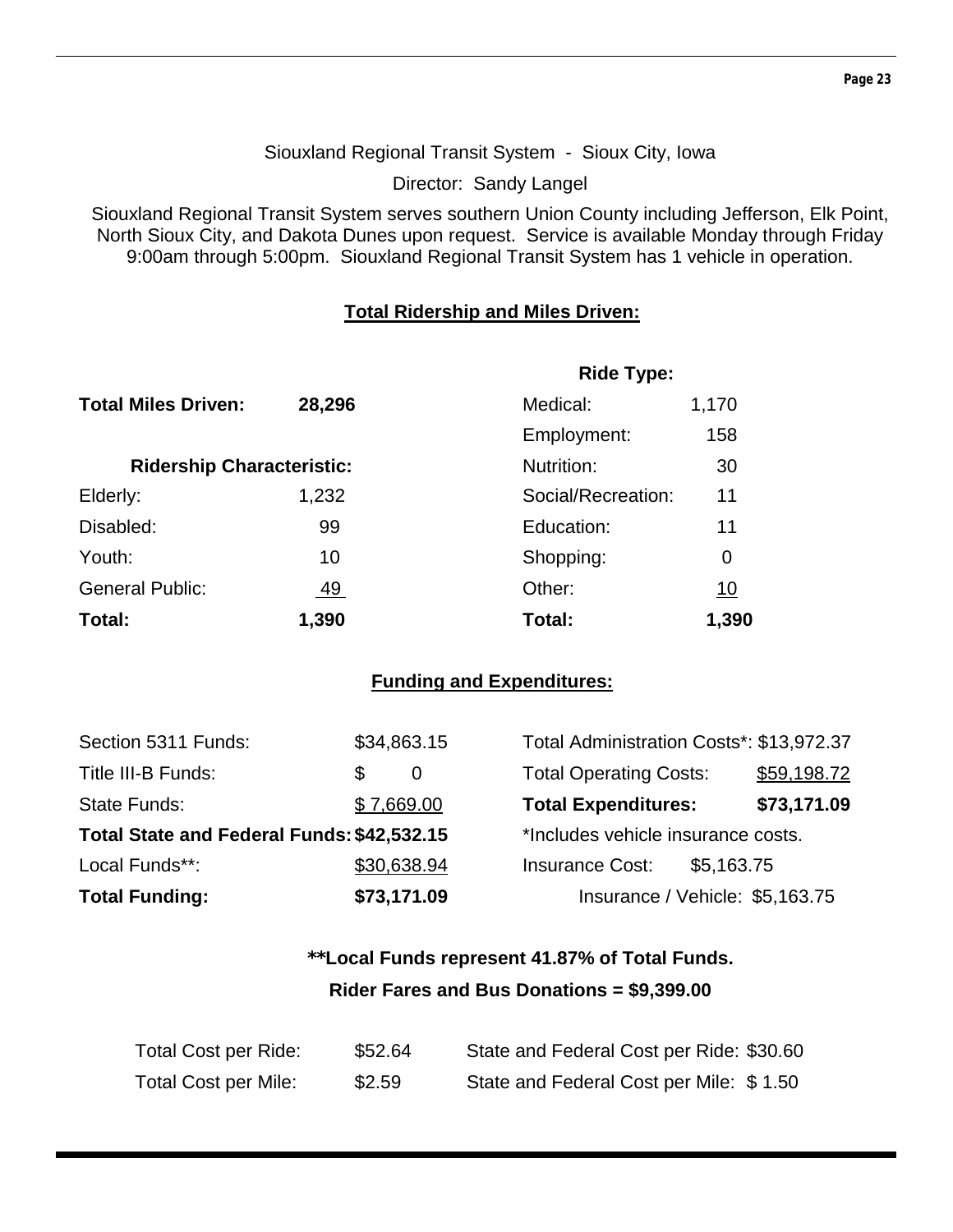#### Siouxland Regional Transit System - Sioux City, Iowa

Director: Sandy Langel

Siouxland Regional Transit System serves southern Union County including Jefferson, Elk Point, North Sioux City, and Dakota Dunes upon request. Service is available Monday through Friday 9:00am through 5:00pm. Siouxland Regional Transit System has 1 vehicle in operation.

#### **Total Ridership and Miles Driven:**

|                                  |           | <b>Ride Type:</b>  |           |
|----------------------------------|-----------|--------------------|-----------|
| <b>Total Miles Driven:</b>       | 28,296    | Medical:           | 1,170     |
|                                  |           | Employment:        | 158       |
| <b>Ridership Characteristic:</b> |           | Nutrition:         | 30        |
| Elderly:                         | 1,232     | Social/Recreation: | 11        |
| Disabled:                        | 99        | Education:         | 11        |
| Youth:                           | 10        | Shopping:          | 0         |
| <b>General Public:</b>           | <u>49</u> | Other:             | <u>10</u> |
| Total:                           | 1,390     | Total:             | 1,390     |

#### **Funding and Expenditures:**

| Section 5311 Funds:                        | \$34,863.15 | Total Administration Costs*: \$13,972.37 |             |
|--------------------------------------------|-------------|------------------------------------------|-------------|
| Title III-B Funds:                         | S<br>0      | <b>Total Operating Costs:</b>            | \$59,198.72 |
| State Funds:                               | \$7,669.00  | <b>Total Expenditures:</b>               | \$73,171.09 |
| Total State and Federal Funds: \$42,532.15 |             | *Includes vehicle insurance costs.       |             |
| Local Funds**:                             | \$30,638.94 | <b>Insurance Cost:</b><br>\$5,163.75     |             |
| <b>Total Funding:</b>                      | \$73,171.09 | Insurance / Vehicle: \$5,163.75          |             |

## **\*\*Local Funds represent 41.87% of Total Funds. Rider Fares and Bus Donations = \$9,399.00**

| <b>Total Cost per Ride:</b> | \$52.64 | State and Federal Cost per Ride: \$30.60 |
|-----------------------------|---------|------------------------------------------|
| <b>Total Cost per Mile:</b> | \$2.59  | State and Federal Cost per Mile: \$1.50  |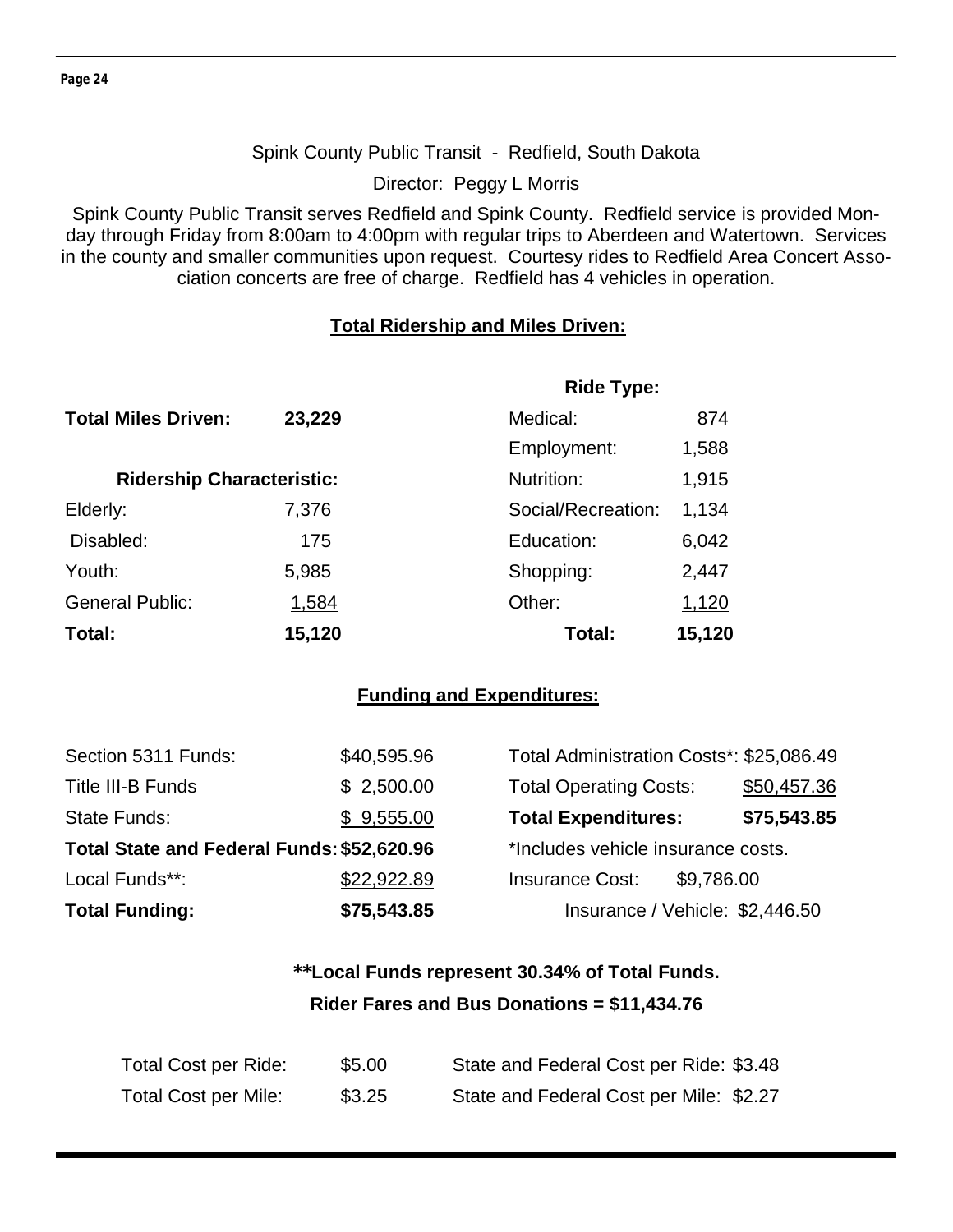#### Spink County Public Transit - Redfield, South Dakota

Director: Peggy L Morris

Spink County Public Transit serves Redfield and Spink County. Redfield service is provided Monday through Friday from 8:00am to 4:00pm with regular trips to Aberdeen and Watertown. Services in the county and smaller communities upon request. Courtesy rides to Redfield Area Concert Association concerts are free of charge. Redfield has 4 vehicles in operation.

#### **Total Ridership and Miles Driven:**

|                                  |              | <b>Ride Type:</b>  |        |
|----------------------------------|--------------|--------------------|--------|
| <b>Total Miles Driven:</b>       | 23,229       | Medical:           | 874    |
|                                  |              | Employment:        | 1,588  |
| <b>Ridership Characteristic:</b> |              | Nutrition:         | 1,915  |
| Elderly:                         | 7,376        | Social/Recreation: | 1,134  |
| Disabled:                        | 175          | Education:         | 6,042  |
| Youth:                           | 5,985        | Shopping:          | 2,447  |
| <b>General Public:</b>           | <u>1,584</u> | Other:             | 1,120  |
| Total:                           | 15,120       | Total:             | 15,120 |

#### **Funding and Expenditures:**

| Section 5311 Funds:                        | \$40,595.96 | Total Administration Costs*: \$25,086.49 |             |
|--------------------------------------------|-------------|------------------------------------------|-------------|
| Title III-B Funds                          | \$2,500.00  | <b>Total Operating Costs:</b>            | \$50,457.36 |
| <b>State Funds:</b>                        | \$9,555.00  | <b>Total Expenditures:</b>               | \$75,543.85 |
| Total State and Federal Funds: \$52,620.96 |             | *Includes vehicle insurance costs.       |             |
| Local Funds**:                             | \$22,922.89 | <b>Insurance Cost:</b><br>\$9,786.00     |             |
| <b>Total Funding:</b>                      | \$75,543.85 | Insurance / Vehicle: \$2,446.50          |             |

## **\*\*Local Funds represent 30.34% of Total Funds. Rider Fares and Bus Donations = \$11,434.76**

| Total Cost per Ride:        | \$5.00 | State and Federal Cost per Ride: \$3.48 |
|-----------------------------|--------|-----------------------------------------|
| <b>Total Cost per Mile:</b> | \$3.25 | State and Federal Cost per Mile: \$2.27 |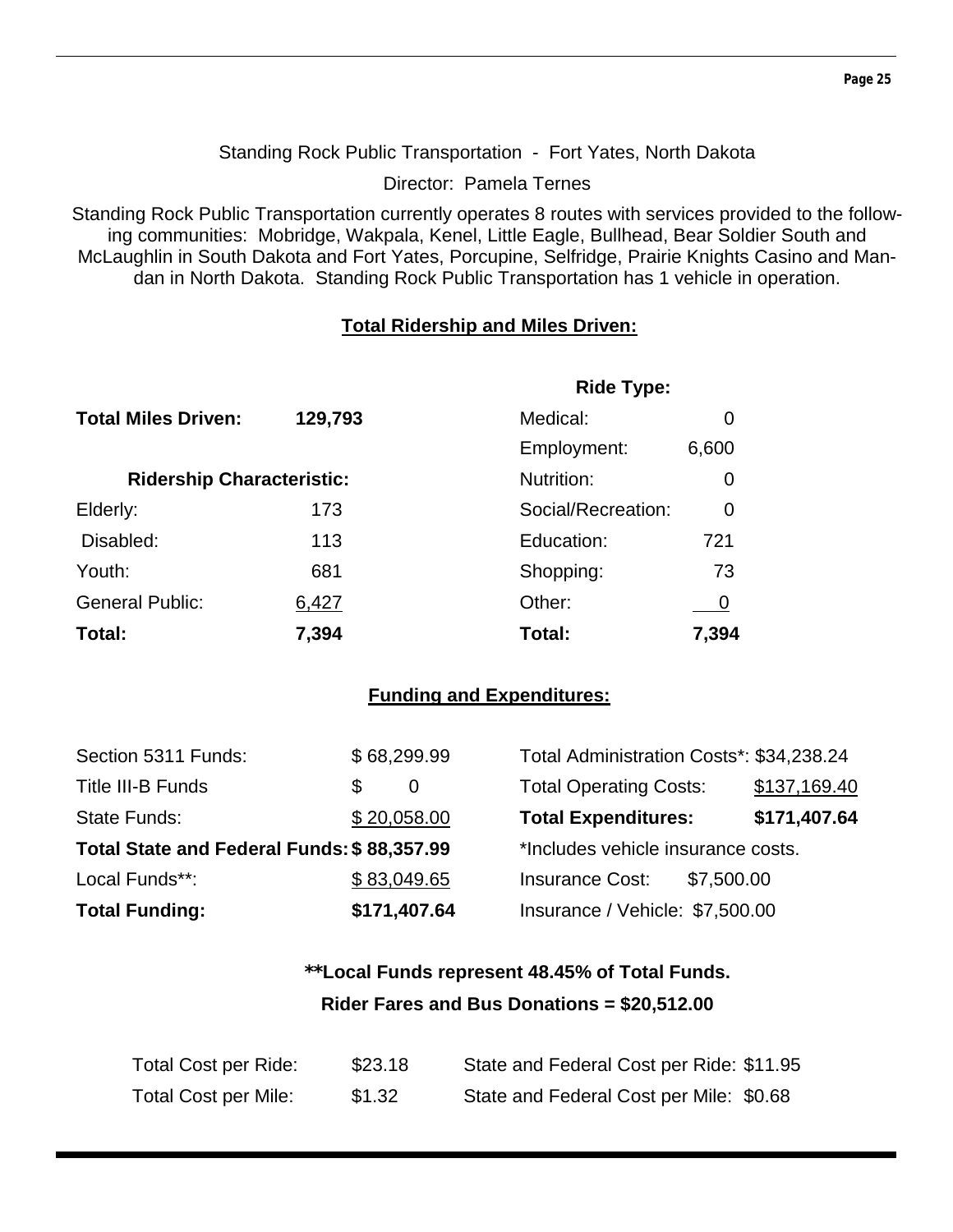#### Standing Rock Public Transportation - Fort Yates, North Dakota

Director: Pamela Ternes

Standing Rock Public Transportation currently operates 8 routes with services provided to the following communities: Mobridge, Wakpala, Kenel, Little Eagle, Bullhead, Bear Soldier South and McLaughlin in South Dakota and Fort Yates, Porcupine, Selfridge, Prairie Knights Casino and Mandan in North Dakota. Standing Rock Public Transportation has 1 vehicle in operation.

#### **Total Ridership and Miles Driven:**

|                                  |         | <b>Ride Type:</b>  |       |
|----------------------------------|---------|--------------------|-------|
| <b>Total Miles Driven:</b>       | 129,793 | Medical:           |       |
|                                  |         | Employment:        | 6,600 |
| <b>Ridership Characteristic:</b> |         | Nutrition:         | O     |
| Elderly:                         | 173     | Social/Recreation: | 0     |
| Disabled:                        | 113     | Education:         | 721   |
| Youth:                           | 681     | Shopping:          | 73    |
| <b>General Public:</b>           | 6,427   | Other:             |       |
| Total:                           | 7,394   | Total:             | 7,394 |

#### **Funding and Expenditures:**

| Section 5311 Funds:                        | \$68,299.99 |              | Total Administration Costs*: \$34,238.24 |            |              |
|--------------------------------------------|-------------|--------------|------------------------------------------|------------|--------------|
| <b>Title III-B Funds</b>                   | S           | 0            | <b>Total Operating Costs:</b>            |            | \$137,169.40 |
| State Funds:                               | \$20,058.00 |              | <b>Total Expenditures:</b>               |            | \$171,407.64 |
| Total State and Federal Funds: \$88,357.99 |             |              | *Includes vehicle insurance costs.       |            |              |
| Local Funds**:                             | \$83,049.65 |              | <b>Insurance Cost:</b>                   | \$7,500.00 |              |
| <b>Total Funding:</b>                      |             | \$171,407.64 | Insurance / Vehicle: \$7,500.00          |            |              |

## **\*\*Local Funds represent 48.45% of Total Funds. Rider Fares and Bus Donations = \$20,512.00**

| Total Cost per Ride:        | \$23.18 | State and Federal Cost per Ride: \$11.95 |
|-----------------------------|---------|------------------------------------------|
| <b>Total Cost per Mile:</b> | \$1.32  | State and Federal Cost per Mile: \$0.68  |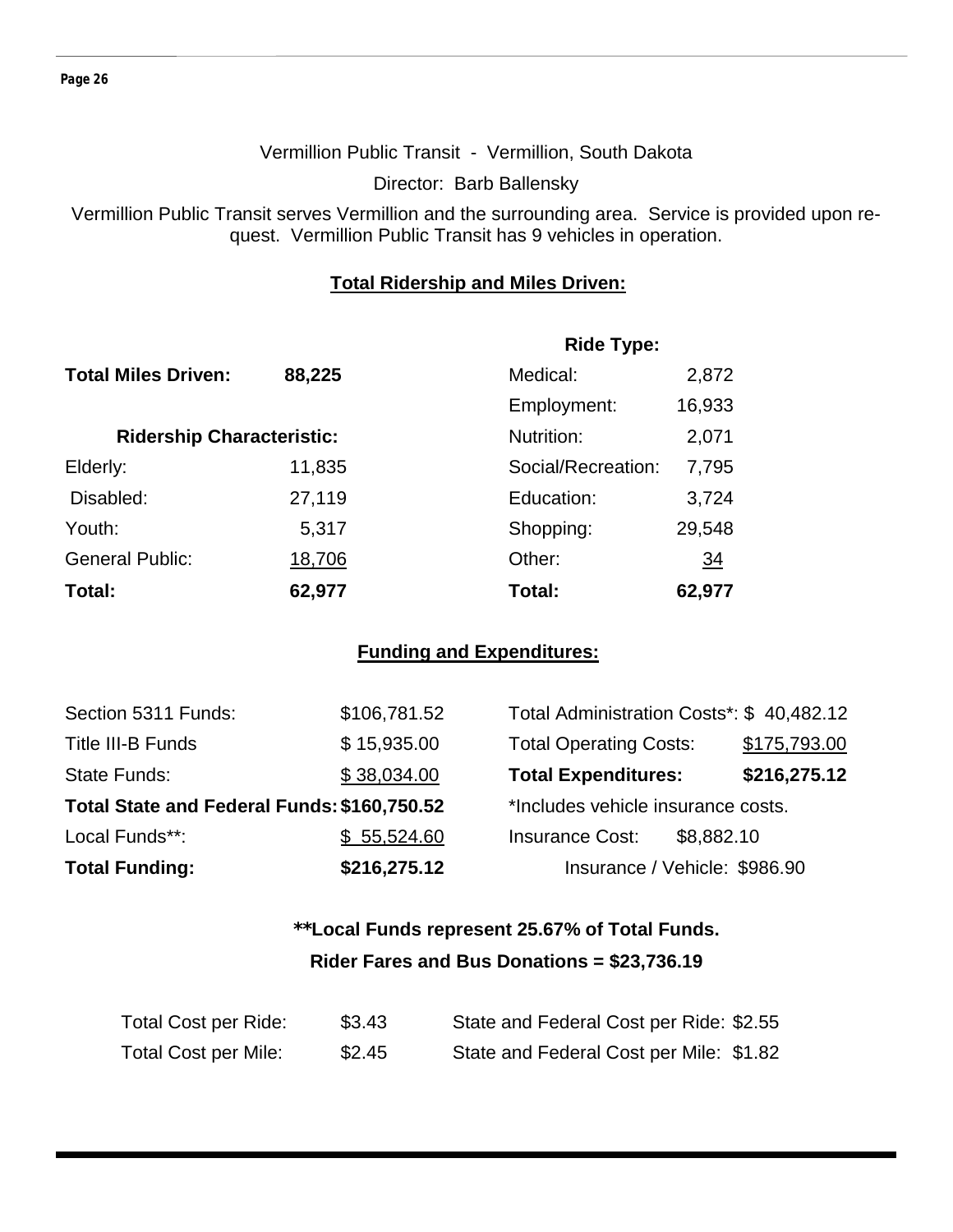#### Vermillion Public Transit - Vermillion, South Dakota

Director: Barb Ballensky

Vermillion Public Transit serves Vermillion and the surrounding area. Service is provided upon request. Vermillion Public Transit has 9 vehicles in operation.

#### **Total Ridership and Miles Driven:**

|                                  |        | <b>Ride Type:</b>  |                |
|----------------------------------|--------|--------------------|----------------|
| <b>Total Miles Driven:</b>       | 88,225 | Medical:           | 2,872          |
|                                  |        | Employment:        | 16,933         |
| <b>Ridership Characteristic:</b> |        | Nutrition:         | 2,071          |
| Elderly:                         | 11,835 | Social/Recreation: | 7,795          |
| Disabled:                        | 27,119 | Education:         | 3,724          |
| Youth:                           | 5,317  | Shopping:          | 29,548         |
| <b>General Public:</b>           | 18,706 | Other:             | $\frac{34}{5}$ |
| Total:                           | 62,977 | Total:             | 62,977         |

#### **Funding and Expenditures:**

| Section 5311 Funds:                         | \$106,781.52 | Total Administration Costs*: \$40,482.12 |              |
|---------------------------------------------|--------------|------------------------------------------|--------------|
| Title III-B Funds                           | \$15,935.00  | <b>Total Operating Costs:</b>            | \$175,793.00 |
| <b>State Funds:</b>                         | \$38,034.00  | <b>Total Expenditures:</b>               | \$216,275.12 |
| Total State and Federal Funds: \$160,750.52 |              | *Includes vehicle insurance costs.       |              |
| Local Funds**:                              | \$55,524.60  | <b>Insurance Cost:</b><br>\$8,882.10     |              |
| <b>Total Funding:</b>                       | \$216,275.12 | Insurance / Vehicle: \$986.90            |              |

## **\*\*Local Funds represent 25.67% of Total Funds. Rider Fares and Bus Donations = \$23,736.19**

| Total Cost per Ride:        | \$3.43 | State and Federal Cost per Ride: \$2.55 |
|-----------------------------|--------|-----------------------------------------|
| <b>Total Cost per Mile:</b> | \$2.45 | State and Federal Cost per Mile: \$1.82 |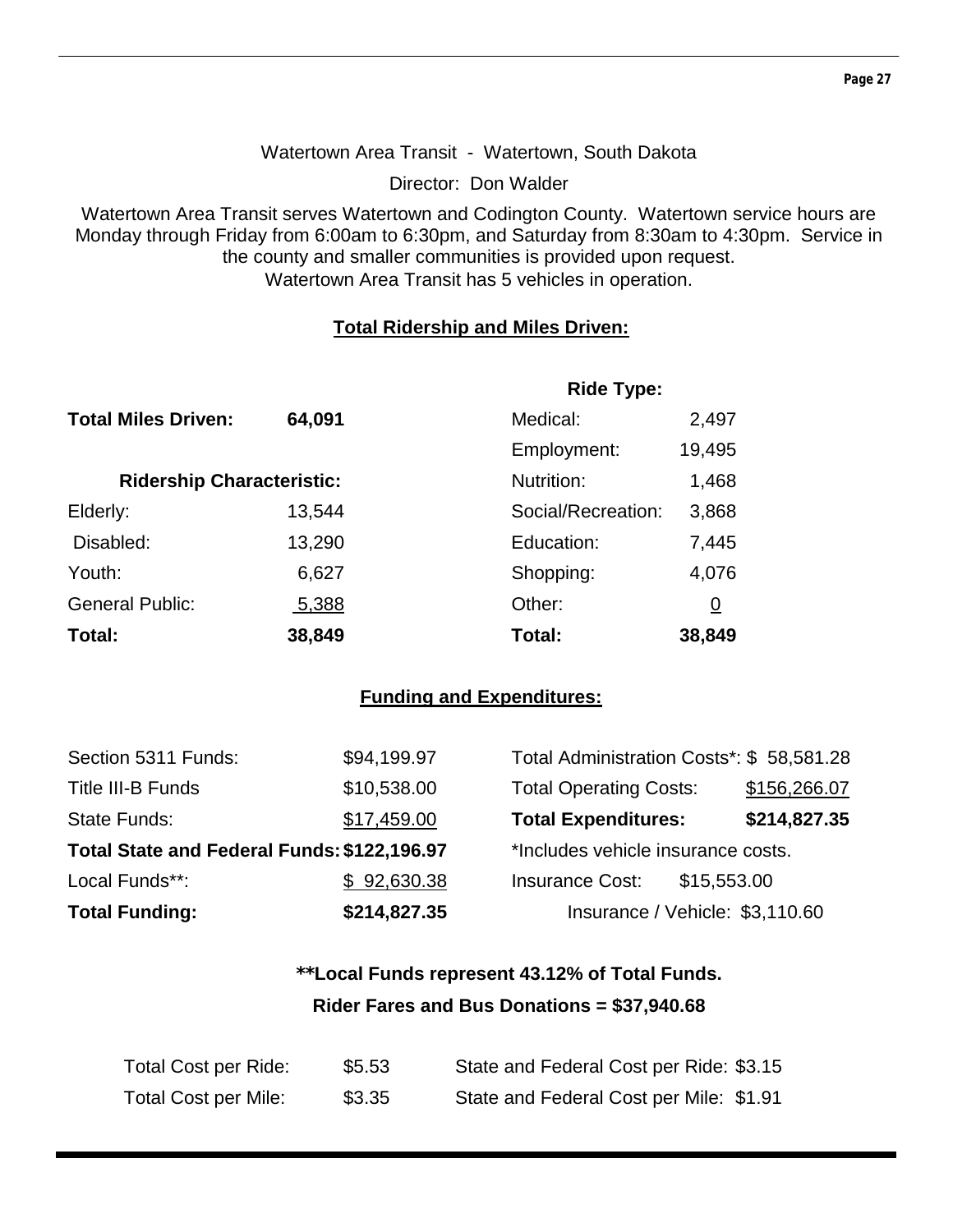#### Watertown Area Transit - Watertown, South Dakota

Director: Don Walder

Watertown Area Transit serves Watertown and Codington County. Watertown service hours are Monday through Friday from 6:00am to 6:30pm, and Saturday from 8:30am to 4:30pm. Service in the county and smaller communities is provided upon request. Watertown Area Transit has 5 vehicles in operation.

#### **Total Ridership and Miles Driven:**

|                                  |        | <b>Ride Type:</b>  |          |
|----------------------------------|--------|--------------------|----------|
| <b>Total Miles Driven:</b>       | 64,091 | Medical:           | 2,497    |
|                                  |        | Employment:        | 19,495   |
| <b>Ridership Characteristic:</b> |        | Nutrition:         | 1,468    |
| Elderly:                         | 13,544 | Social/Recreation: | 3,868    |
| Disabled:                        | 13,290 | Education:         | 7,445    |
| Youth:                           | 6,627  | Shopping:          | 4,076    |
| <b>General Public:</b>           | 5,388  | Other:             | <u>0</u> |
| Total:                           | 38,849 | Total:             | 38,849   |

#### **Funding and Expenditures:**

| <b>Total Funding:</b>                       | \$214,827.35 | Insurance / Vehicle: \$3,110.60          |              |
|---------------------------------------------|--------------|------------------------------------------|--------------|
| Local Funds**:                              | \$92,630.38  | <b>Insurance Cost:</b><br>\$15,553.00    |              |
| Total State and Federal Funds: \$122,196.97 |              | *Includes vehicle insurance costs.       |              |
| State Funds:                                | \$17,459.00  | <b>Total Expenditures:</b>               | \$214,827.35 |
| Title III-B Funds                           | \$10,538.00  | <b>Total Operating Costs:</b>            | \$156,266.07 |
| Section 5311 Funds:                         | \$94,199.97  | Total Administration Costs*: \$58,581.28 |              |

## **\*\*Local Funds represent 43.12% of Total Funds. Rider Fares and Bus Donations = \$37,940.68**

| Total Cost per Ride:        | \$5.53 | State and Federal Cost per Ride: \$3.15 |
|-----------------------------|--------|-----------------------------------------|
| <b>Total Cost per Mile:</b> | \$3.35 | State and Federal Cost per Mile: \$1.91 |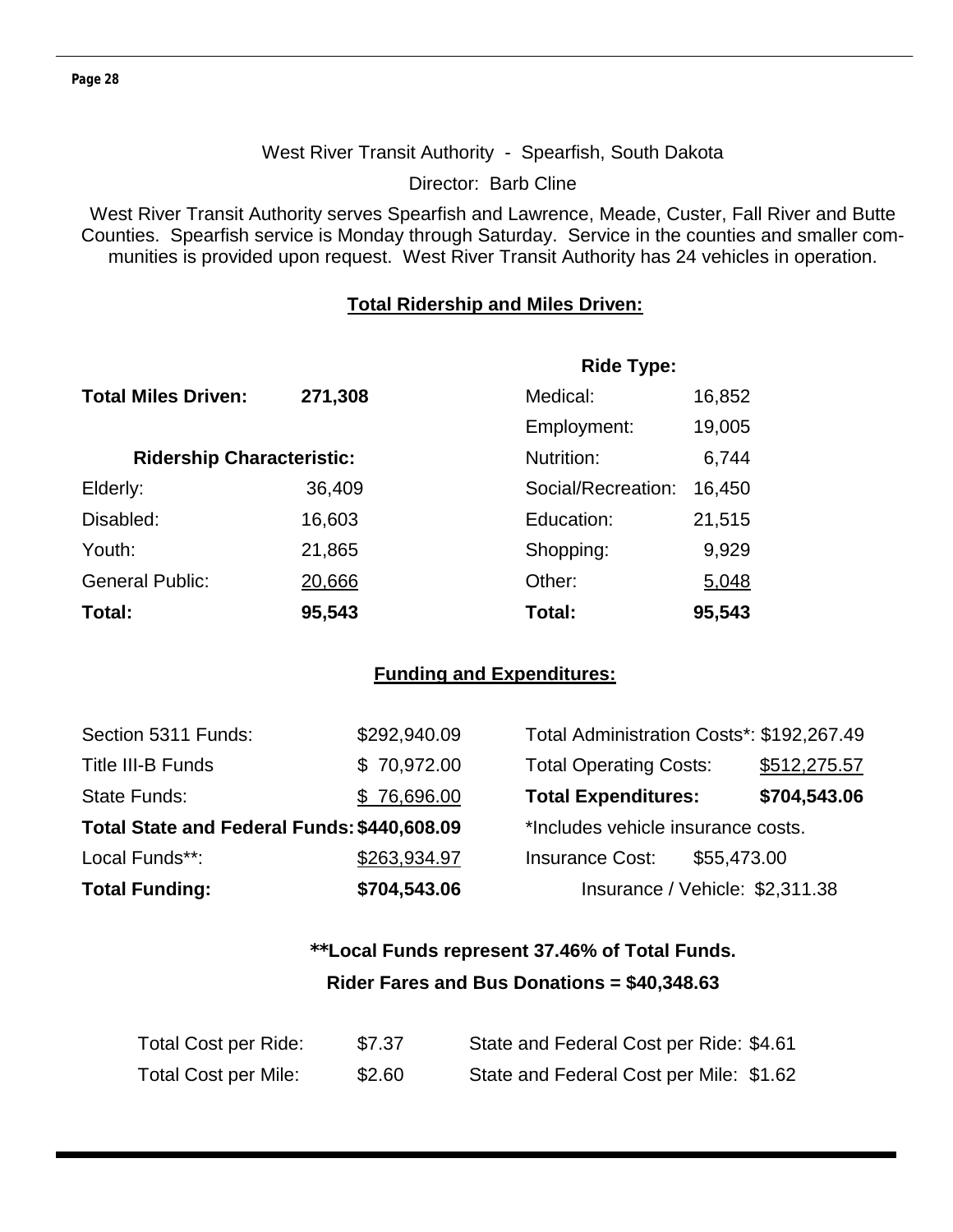#### West River Transit Authority - Spearfish, South Dakota

Director: Barb Cline

West River Transit Authority serves Spearfish and Lawrence, Meade, Custer, Fall River and Butte Counties. Spearfish service is Monday through Saturday. Service in the counties and smaller communities is provided upon request. West River Transit Authority has 24 vehicles in operation.

#### **Total Ridership and Miles Driven:**

|                                  |         | <b>Ride Type:</b>  |        |
|----------------------------------|---------|--------------------|--------|
| <b>Total Miles Driven:</b>       | 271,308 | Medical:           | 16,852 |
|                                  |         | Employment:        | 19,005 |
| <b>Ridership Characteristic:</b> |         | Nutrition:         | 6,744  |
| Elderly:                         | 36,409  | Social/Recreation: | 16,450 |
| Disabled:                        | 16,603  | Education:         | 21,515 |
| Youth:                           | 21,865  | Shopping:          | 9,929  |
| <b>General Public:</b>           | 20,666  | Other:             | 5,048  |
| Total:                           | 95,543  | Total:             | 95,543 |

#### **Funding and Expenditures:**

| <b>Total Funding:</b>                       | \$704,543.06 | Insurance / Vehicle: \$2,311.38           |              |
|---------------------------------------------|--------------|-------------------------------------------|--------------|
| Local Funds**:                              | \$263,934.97 | <b>Insurance Cost:</b><br>\$55,473.00     |              |
| Total State and Federal Funds: \$440,608.09 |              | *Includes vehicle insurance costs.        |              |
| <b>State Funds:</b>                         | \$76,696.00  | <b>Total Expenditures:</b>                | \$704,543.06 |
| <b>Title III-B Funds</b>                    | \$70,972.00  | <b>Total Operating Costs:</b>             | \$512,275.57 |
| Section 5311 Funds:                         | \$292,940.09 | Total Administration Costs*: \$192,267.49 |              |

## **\*\*Local Funds represent 37.46% of Total Funds. Rider Fares and Bus Donations = \$40,348.63**

| Total Cost per Ride:        | \$7.37 | State and Federal Cost per Ride: \$4.61 |
|-----------------------------|--------|-----------------------------------------|
| <b>Total Cost per Mile:</b> | \$2.60 | State and Federal Cost per Mile: \$1.62 |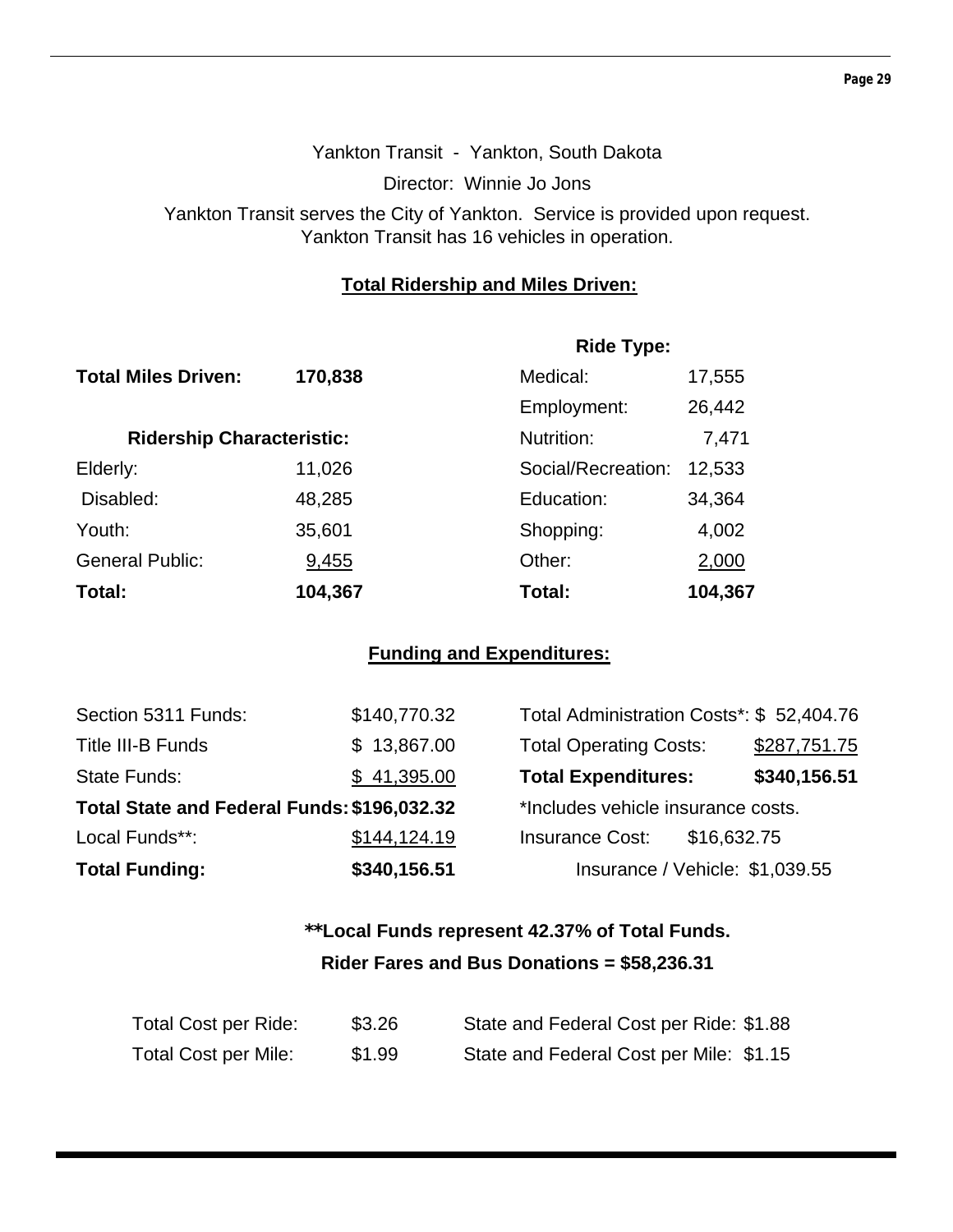## Yankton Transit - Yankton, South Dakota Director: Winnie Jo Jons Yankton Transit serves the City of Yankton. Service is provided upon request. Yankton Transit has 16 vehicles in operation.

#### **Total Ridership and Miles Driven:**

|                                  |         | <b>Ride Type:</b>  |         |  |
|----------------------------------|---------|--------------------|---------|--|
| <b>Total Miles Driven:</b>       | 170,838 | Medical:           | 17,555  |  |
|                                  |         | Employment:        | 26,442  |  |
| <b>Ridership Characteristic:</b> |         | Nutrition:         | 7,471   |  |
| Elderly:                         | 11,026  | Social/Recreation: | 12,533  |  |
| Disabled:                        | 48,285  | Education:         | 34,364  |  |
| Youth:                           | 35,601  | Shopping:          | 4,002   |  |
| <b>General Public:</b>           | 9,455   | Other:             | 2,000   |  |
| Total:                           | 104,367 | Total:             | 104,367 |  |

#### **Funding and Expenditures:**

| Section 5311 Funds:                         | \$140,770.32 | Total Administration Costs*: \$52,404.76 |              |
|---------------------------------------------|--------------|------------------------------------------|--------------|
| Title III-B Funds                           | \$13,867.00  | <b>Total Operating Costs:</b>            | \$287,751.75 |
| <b>State Funds:</b>                         | \$41,395.00  | <b>Total Expenditures:</b>               | \$340,156.51 |
| Total State and Federal Funds: \$196,032.32 |              | *Includes vehicle insurance costs.       |              |
| Local Funds**:                              | \$144,124.19 | <b>Insurance Cost:</b><br>\$16,632.75    |              |
| <b>Total Funding:</b>                       | \$340,156.51 | Insurance / Vehicle: \$1,039.55          |              |

## **\*\*Local Funds represent 42.37% of Total Funds. Rider Fares and Bus Donations = \$58,236.31**

| Total Cost per Ride: | \$3.26 | State and Federal Cost per Ride: \$1.88 |
|----------------------|--------|-----------------------------------------|
| Total Cost per Mile: | \$1.99 | State and Federal Cost per Mile: \$1.15 |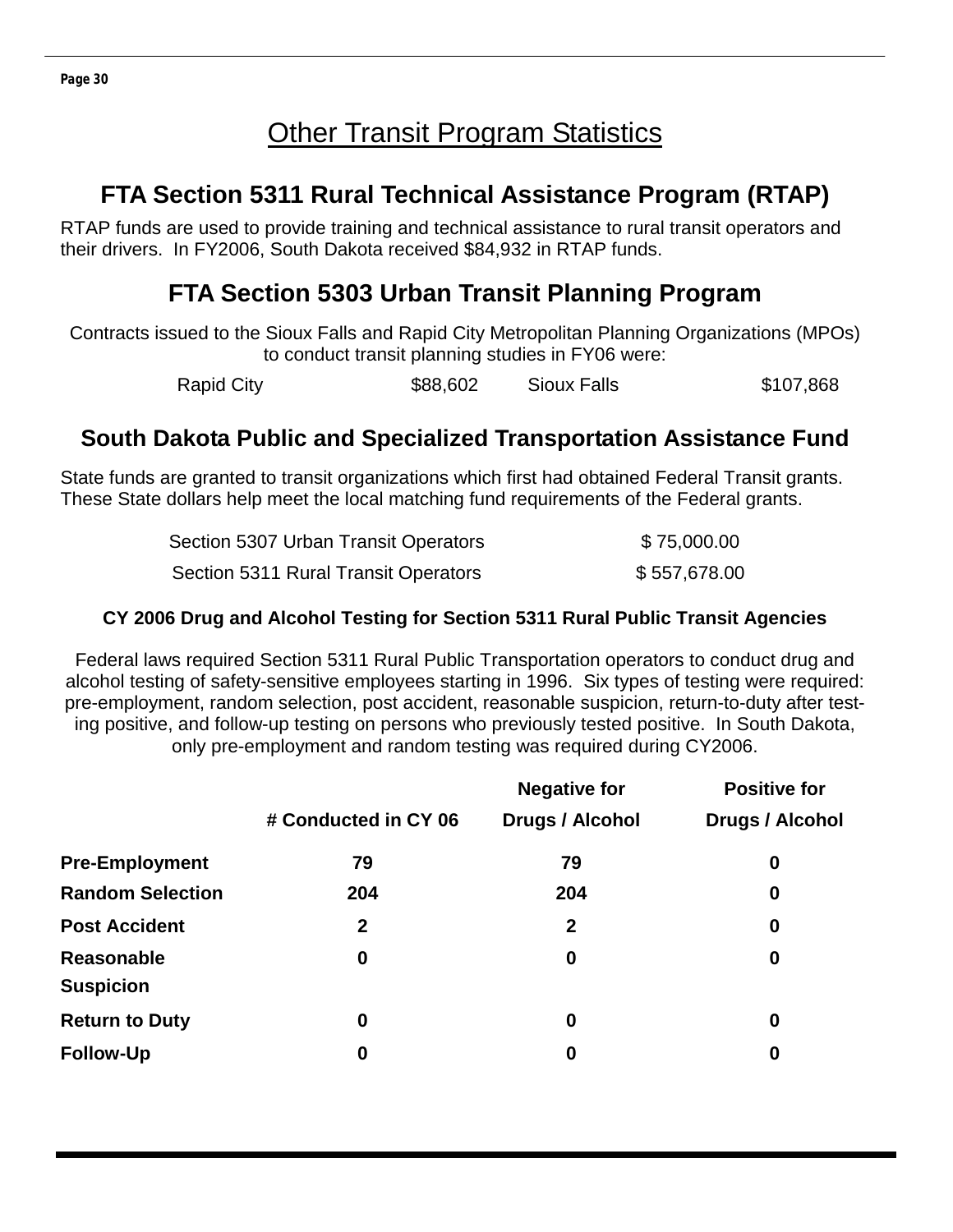## **Other Transit Program Statistics**

## **FTA Section 5311 Rural Technical Assistance Program (RTAP)**

RTAP funds are used to provide training and technical assistance to rural transit operators and their drivers. In FY2006, South Dakota received \$84,932 in RTAP funds.

## **FTA Section 5303 Urban Transit Planning Program**

Contracts issued to the Sioux Falls and Rapid City Metropolitan Planning Organizations (MPOs) to conduct transit planning studies in FY06 were:

Rapid City **\$88,602** Sioux Falls \$107,868

## **South Dakota Public and Specialized Transportation Assistance Fund**

State funds are granted to transit organizations which first had obtained Federal Transit grants. These State dollars help meet the local matching fund requirements of the Federal grants.

| Section 5307 Urban Transit Operators | \$75,000.00  |
|--------------------------------------|--------------|
| Section 5311 Rural Transit Operators | \$557,678.00 |

#### **CY 2006 Drug and Alcohol Testing for Section 5311 Rural Public Transit Agencies**

Federal laws required Section 5311 Rural Public Transportation operators to conduct drug and alcohol testing of safety-sensitive employees starting in 1996. Six types of testing were required: pre-employment, random selection, post accident, reasonable suspicion, return-to-duty after testing positive, and follow-up testing on persons who previously tested positive. In South Dakota, only pre-employment and random testing was required during CY2006.

|                                |                      | <b>Negative for</b>    | <b>Positive for</b>    |
|--------------------------------|----------------------|------------------------|------------------------|
|                                | # Conducted in CY 06 | <b>Drugs / Alcohol</b> | <b>Drugs / Alcohol</b> |
| <b>Pre-Employment</b>          | 79                   | 79                     | 0                      |
| <b>Random Selection</b>        | 204                  | 204                    | $\boldsymbol{0}$       |
| <b>Post Accident</b>           | $\mathbf{2}$         | $\overline{2}$         | $\boldsymbol{0}$       |
| Reasonable<br><b>Suspicion</b> | 0                    | $\bf{0}$               | $\boldsymbol{0}$       |
| <b>Return to Duty</b>          | 0                    | $\bf{0}$               | $\boldsymbol{0}$       |
| <b>Follow-Up</b>               | 0                    | $\bf{0}$               | $\boldsymbol{0}$       |